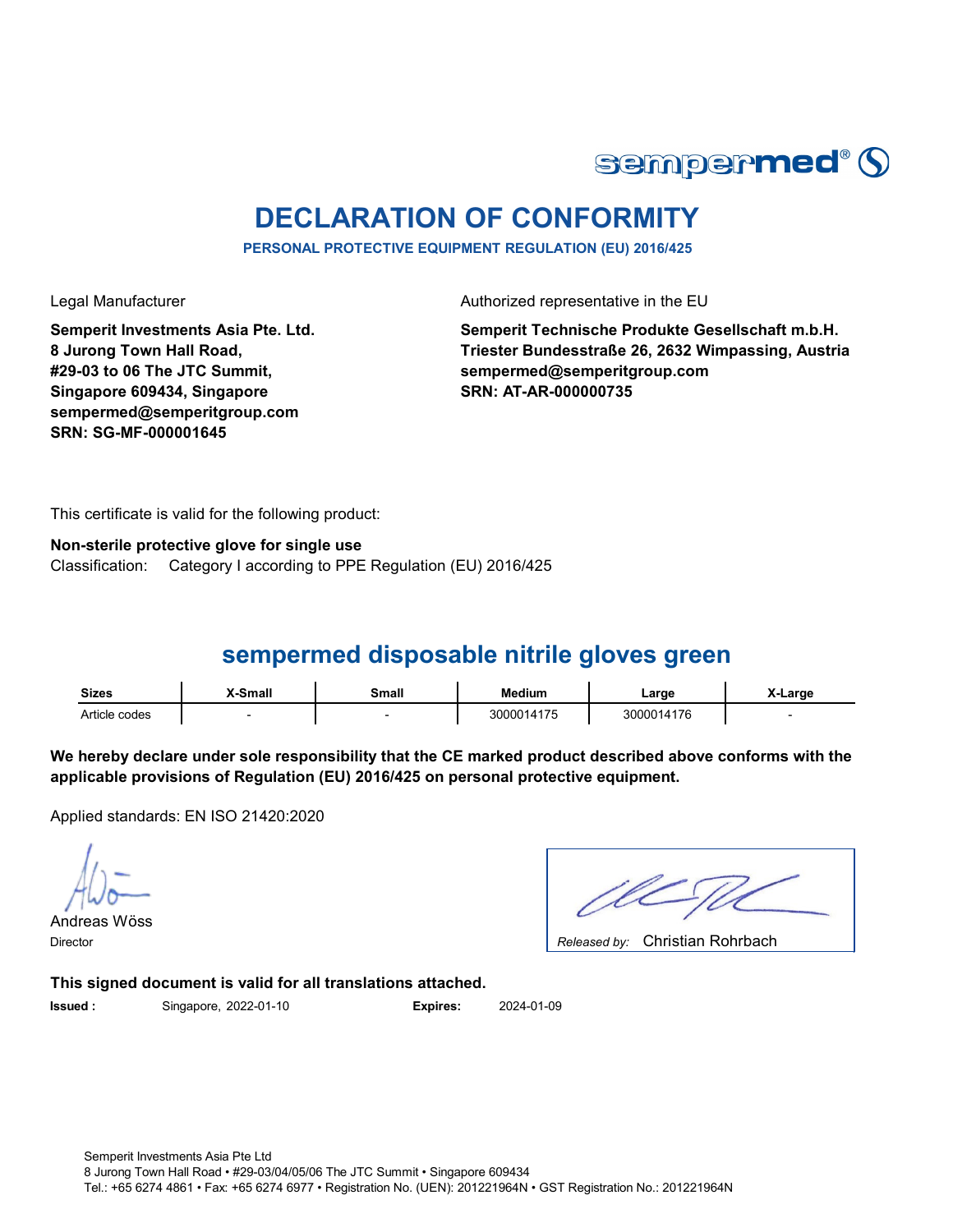

# **DECLARATION OF CONFORMITY**

**PERSONAL PROTECTIVE EQUIPMENT REGULATION (EU) 2016/425**

Legal Manufacturer **Authorized representative in the EU** 

**Semperit Investments Asia Pte. Ltd. 8 Jurong Town Hall Road, #29-03 to 06 The JTC Summit, Singapore 609434, Singapore sempermed@semperitgroup.com SRN: SG-MF-000001645**

**Semperit Technische Produkte Gesellschaft m.b.H. Triester Bundesstraße 26, 2632 Wimpassing, Austria sempermed@semperitgroup.com SRN: AT-AR-000000735**

This certificate is valid for the following product:

Classification: Category I according to PPE Regulation (EU) 2016/425 **Non-sterile protective glove for single use**

## **sempermed disposable nitrile gloves green**

| <b>Sizes</b>  | <b>Small</b> | Small | Medium     | ∟arɑe      | X-Large |
|---------------|--------------|-------|------------|------------|---------|
| Article codes |              |       | 3000014175 | 3000014176 |         |

**We hereby declare under sole responsibility that the CE marked product described above conforms with the applicable provisions of Regulation (EU) 2016/425 on personal protective equipment.**

Applied standards: EN ISO 21420:2020

Andreas Wöss

Christian Rohrbach Director *Released by:* 

**This signed document is valid for all translations attached.**

**Issued :** Singapore, 2022-01-10 **Expires:** 2024-01-09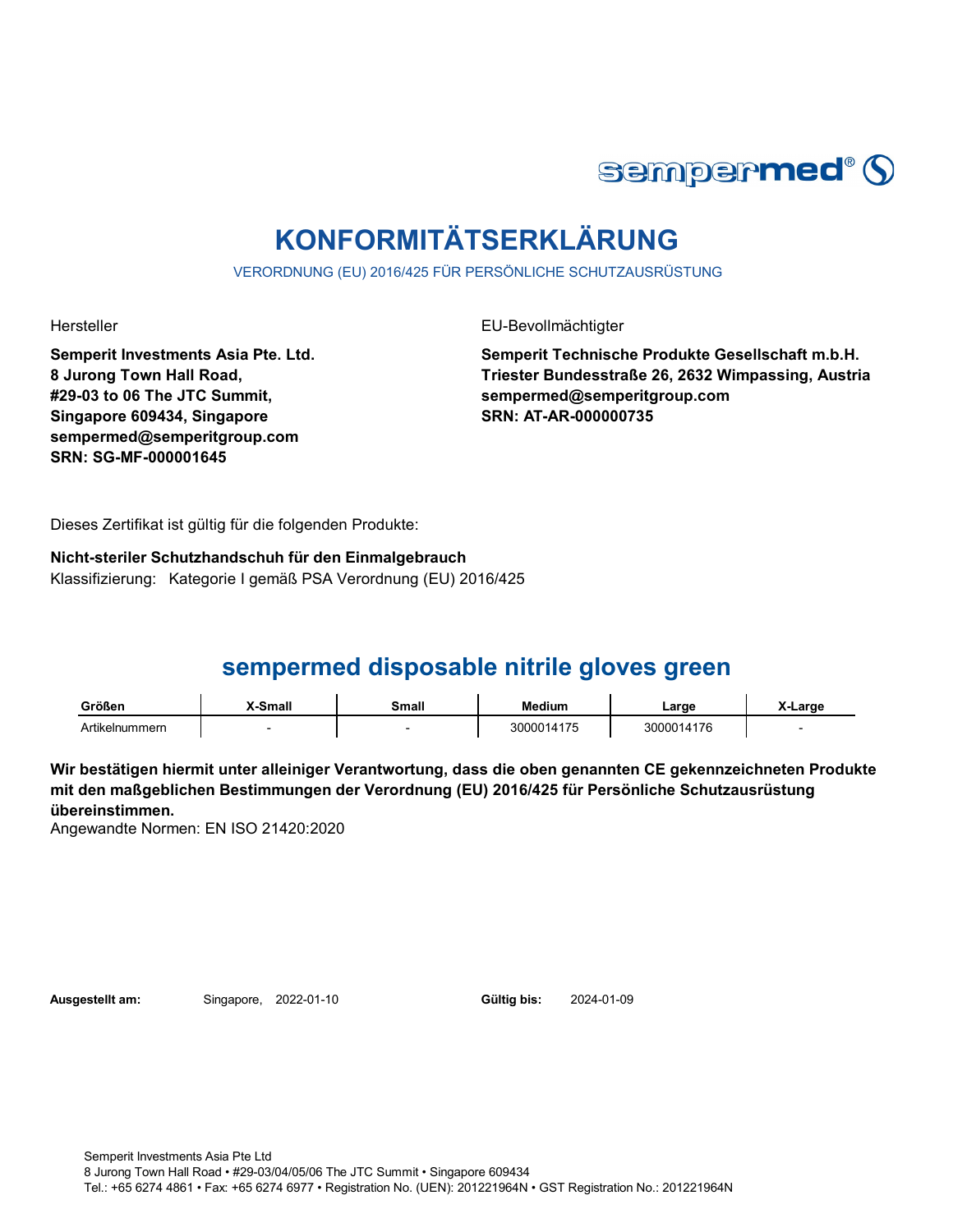

# **KONFORMITÄTSERKLÄRUNG**

VERORDNUNG (EU) 2016/425 FÜR PERSÖNLICHE SCHUTZAUSRÜSTUNG

Hersteller EU-Bevollmächtigter

**Semperit Investments Asia Pte. Ltd. 8 Jurong Town Hall Road, #29-03 to 06 The JTC Summit, Singapore 609434, Singapore sempermed@semperitgroup.com SRN: SG-MF-000001645**

**Semperit Technische Produkte Gesellschaft m.b.H. Triester Bundesstraße 26, 2632 Wimpassing, Austria sempermed@semperitgroup.com SRN: AT-AR-000000735**

Dieses Zertifikat ist gültig für die folgenden Produkte:

**Nicht-steriler Schutzhandschuh für den Einmalgebrauch** Klassifizierung: Kategorie I gemäß PSA Verordnung (EU) 2016/425

## **sempermed disposable nitrile gloves green**

| Größen         | <b>K-Small</b> | Small | <b>Medium</b> | Large      | _arge |
|----------------|----------------|-------|---------------|------------|-------|
| Artikelnummern |                |       | 3000014175    | 3000014176 |       |

**Wir bestätigen hiermit unter alleiniger Verantwortung, dass die oben genannten CE gekennzeichneten Produkte mit den maßgeblichen Bestimmungen der Verordnung (EU) 2016/425 für Persönliche Schutzausrüstung übereinstimmen.**

Angewandte Normen: EN ISO 21420:2020

**Ausgestellt am:** Singapore, **Gültig bis:** 2022-01-10 2024-01-09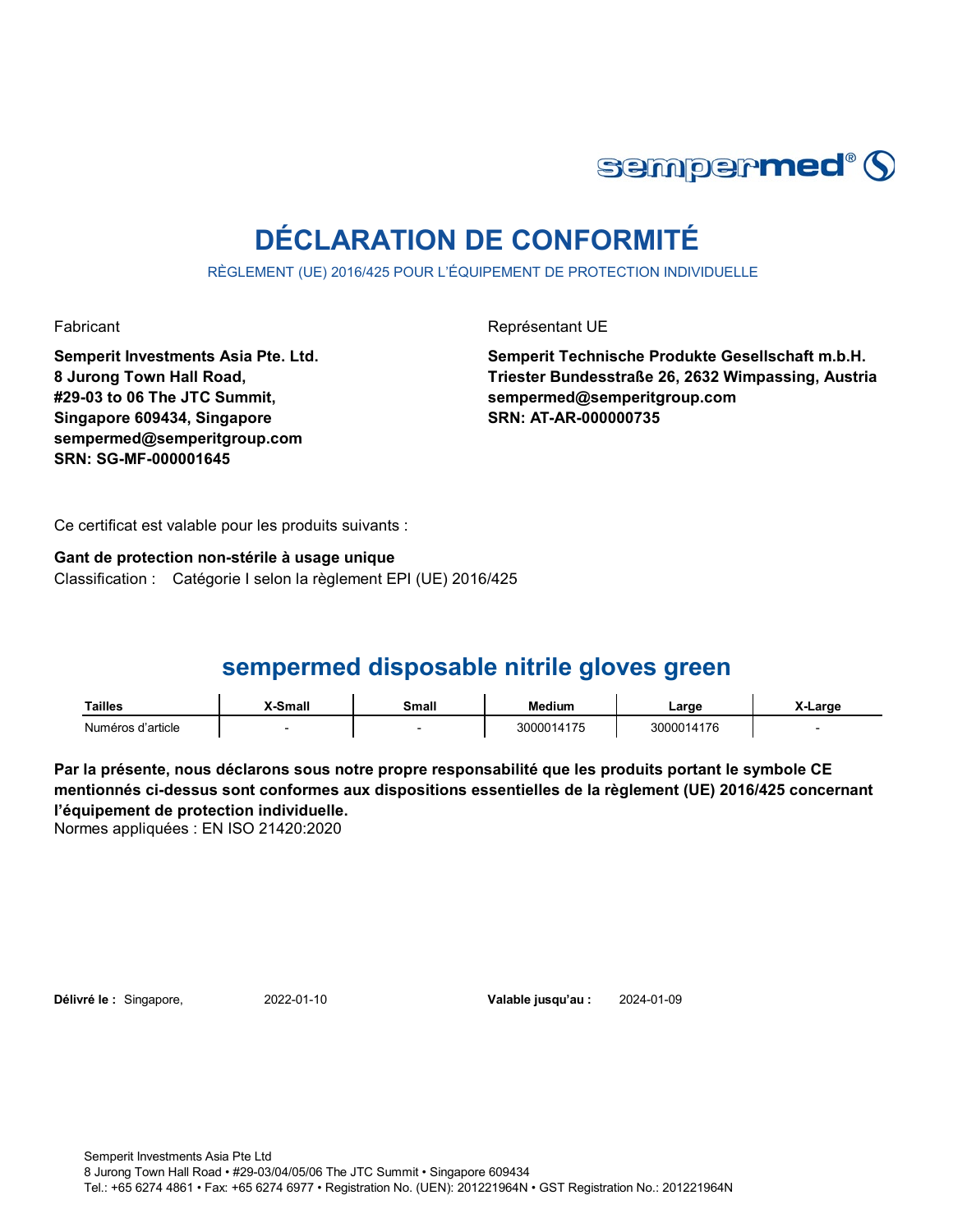

# **DÉCLARATION DE CONFORMITÉ**

RÈGLEMENT (UE) 2016/425 POUR L'ÉQUIPEMENT DE PROTECTION INDIVIDUELLE

Fabricant **Exercise Exercise Exercise Exercise** Représentant UE

**Semperit Investments Asia Pte. Ltd. 8 Jurong Town Hall Road, #29-03 to 06 The JTC Summit, Singapore 609434, Singapore sempermed@semperitgroup.com SRN: SG-MF-000001645**

**Semperit Technische Produkte Gesellschaft m.b.H. Triester Bundesstraße 26, 2632 Wimpassing, Austria sempermed@semperitgroup.com SRN: AT-AR-000000735**

Ce certificat est valable pour les produits suivants :

**Gant de protection non-stérile à usage unique** Classification : Catégorie I selon la règlement EPI (UE) 2016/425

## **sempermed disposable nitrile gloves green**

| Tailles           | Small | Small | <b>Medium</b> | ∟arge      | X-Large |
|-------------------|-------|-------|---------------|------------|---------|
| Numéros d'article |       |       | .100014177    | 3000014176 |         |

**Par la présente, nous déclarons sous notre propre responsabilité que les produits portant le symbole CE mentionnés ci-dessus sont conformes aux dispositions essentielles de la règlement (UE) 2016/425 concernant l'équipement de protection individuelle.**

Normes appliquées : EN ISO 21420:2020

**Délivré le :** Singapore, 2022-01-10

Valable jusqu'au : 2024-01-09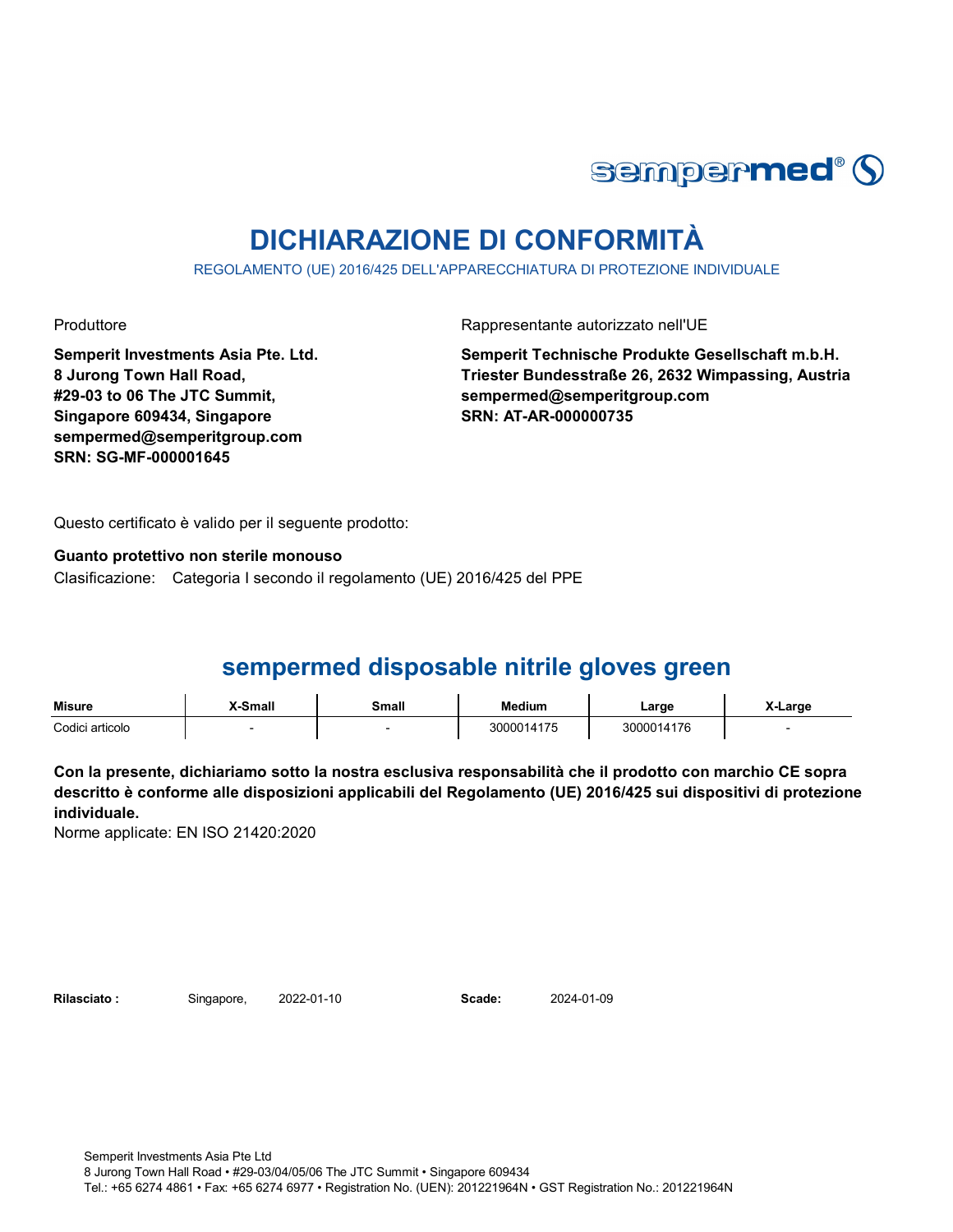

# **DICHIARAZIONE DI CONFORMITÀ**

REGOLAMENTO (UE) 2016/425 DELL'APPARECCHIATURA DI PROTEZIONE INDIVIDUALE

Produttore **Rappresentante autorizzato nell'UE** 

**Semperit Investments Asia Pte. Ltd. 8 Jurong Town Hall Road, #29-03 to 06 The JTC Summit, Singapore 609434, Singapore sempermed@semperitgroup.com SRN: SG-MF-000001645**

**Semperit Technische Produkte Gesellschaft m.b.H. Triester Bundesstraße 26, 2632 Wimpassing, Austria sempermed@semperitgroup.com SRN: AT-AR-000000735**

Questo certificato è valido per il seguente prodotto:

**Guanto protettivo non sterile monouso**

Clasificazione: Categoria I secondo il regolamento (UE) 2016/425 del PPE

## **sempermed disposable nitrile gloves green**

| Misure          | X-Small | Small | <b>Medium</b> | Large           | _arɑe |
|-----------------|---------|-------|---------------|-----------------|-------|
| Codici articolo |         |       | 3000014175    | <b>00014176</b> |       |

**Con la presente, dichiariamo sotto la nostra esclusiva responsabilità che il prodotto con marchio CE sopra descritto è conforme alle disposizioni applicabili del Regolamento (UE) 2016/425 sui dispositivi di protezione individuale.**

Norme applicate: EN ISO 21420:2020

Rilasciato: Singapore, 2022-01-10 **Scade:** 

2024-01-09

Semperit Investments Asia Pte Ltd 8 Jurong Town Hall Road • #29-03/04/05/06 The JTC Summit • Singapore 609434 Tel.: +65 6274 4861 • Fax: +65 6274 6977 • Registration No. (UEN): 201221964N • GST Registration No.: 201221964N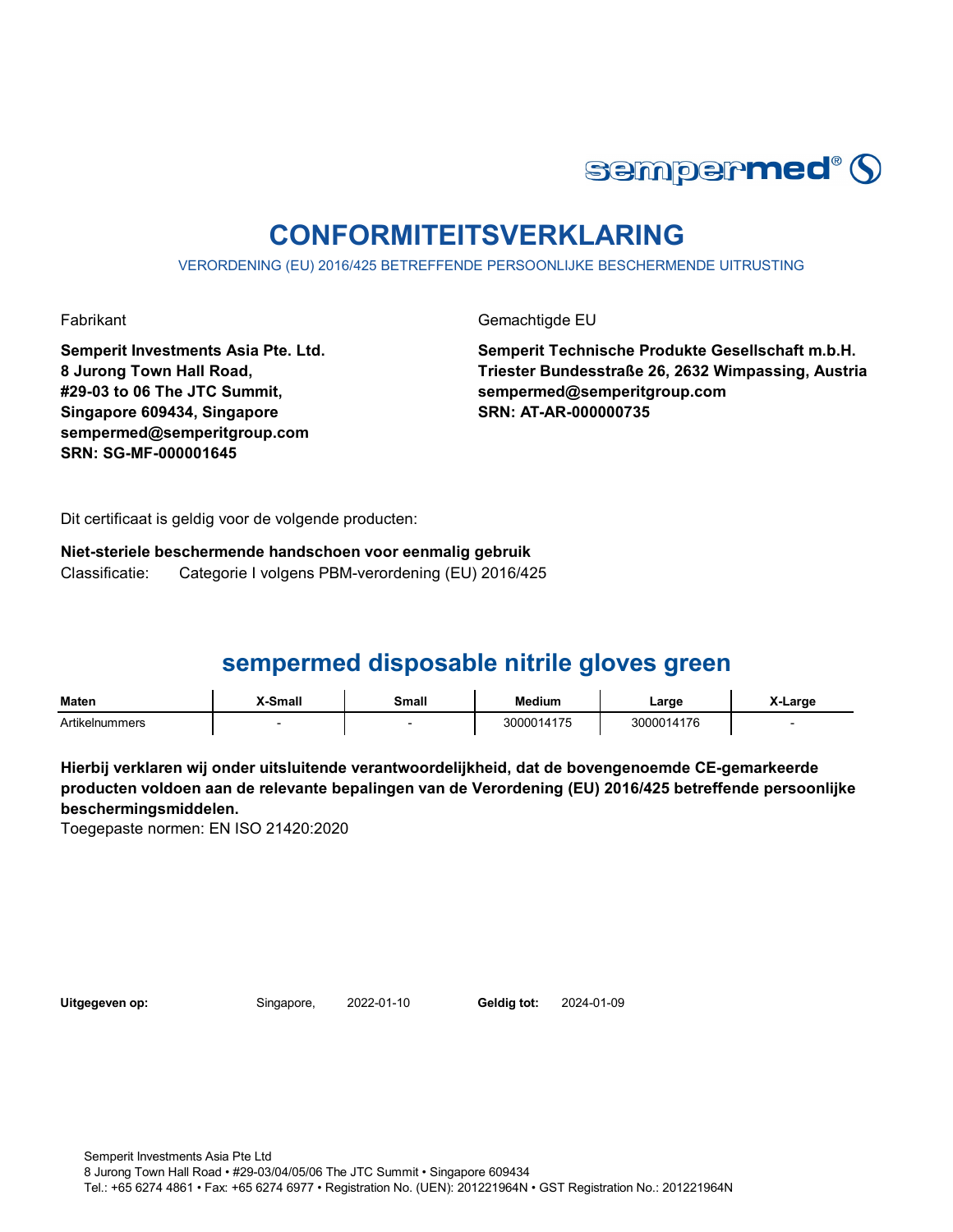

# **CONFORMITEITSVERKLARING**

VERORDENING (EU) 2016/425 BETREFFENDE PERSOONLIJKE BESCHERMENDE UITRUSTING

Fabrikant Gemachtigde EU

**Semperit Investments Asia Pte. Ltd. 8 Jurong Town Hall Road, #29-03 to 06 The JTC Summit, Singapore 609434, Singapore sempermed@semperitgroup.com SRN: SG-MF-000001645**

**Semperit Technische Produkte Gesellschaft m.b.H. Triester Bundesstraße 26, 2632 Wimpassing, Austria sempermed@semperitgroup.com SRN: AT-AR-000000735**

Dit certificaat is geldig voor de volgende producten:

**Niet-steriele beschermende handschoen voor eenmalig gebruik** Classificatie: Categorie I volgens PBM-verordening (EU) 2016/425

## **sempermed disposable nitrile gloves green**

| Maten                          | <sup>v</sup> -Small | <b>Small</b> | Medium                               | ∟arge                 | <b>Large</b> |
|--------------------------------|---------------------|--------------|--------------------------------------|-----------------------|--------------|
| Artikeln <sup>,</sup><br>mmers |                     |              | $1 - r$<br>300001<br>,,<br>$\cdot$ . | 4176<br>300001<br>.11 |              |

**Hierbij verklaren wij onder uitsluitende verantwoordelijkheid, dat de bovengenoemde CE-gemarkeerde producten voldoen aan de relevante bepalingen van de Verordening (EU) 2016/425 betreffende persoonlijke beschermingsmiddelen.**

Toegepaste normen: EN ISO 21420:2020

**Uitgegeven op:** Singapore, 2022-01-10

Geldia tot: 2024-01-09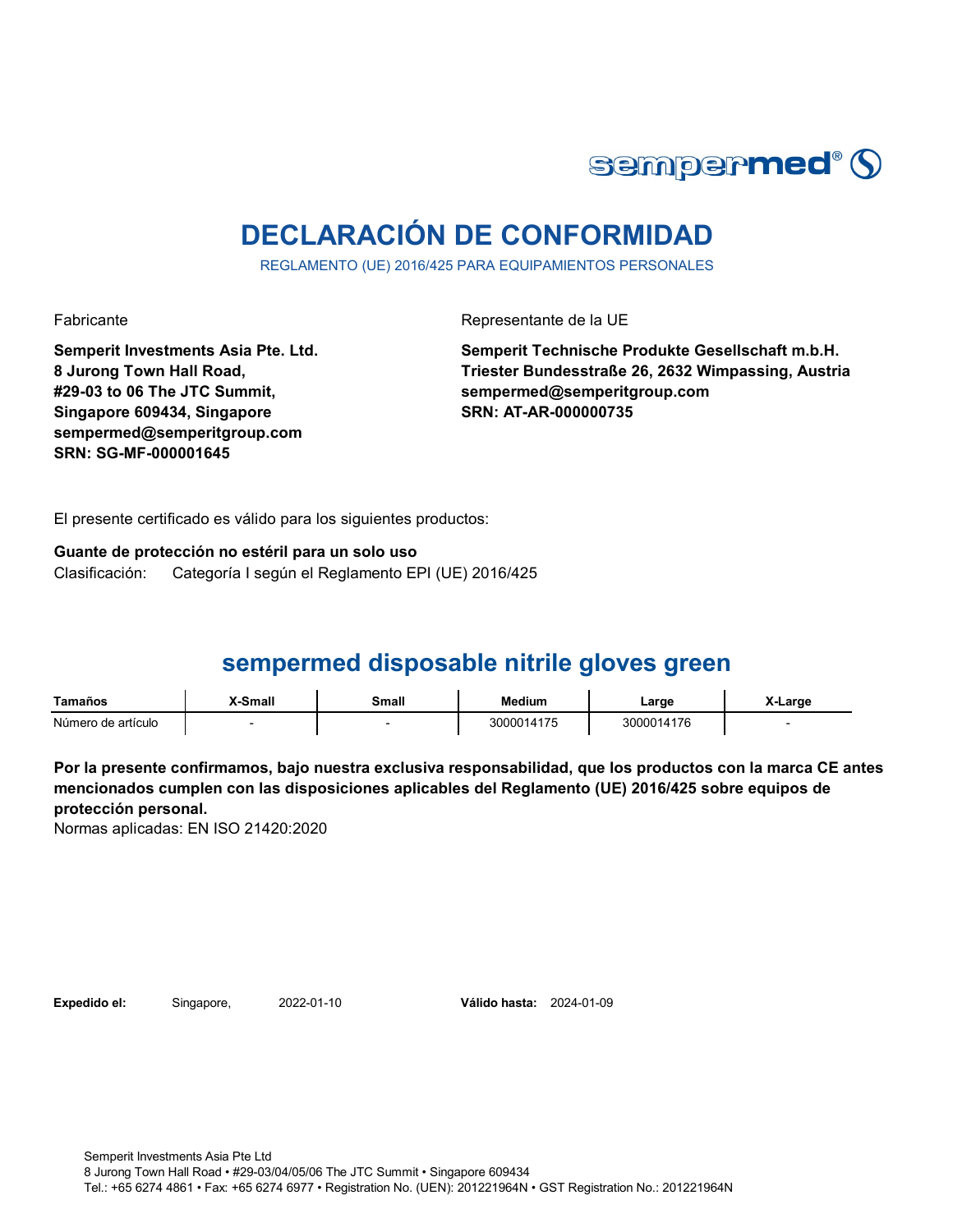

# **DECLARACIÓN DE CONFORMIDAD**

REGLAMENTO (UE) 2016/425 PARA EQUIPAMIENTOS PERSONALES

Fabricante Representante de la UE

**Semperit Investments Asia Pte. Ltd. 8 Jurong Town Hall Road, #29-03 to 06 The JTC Summit, Singapore 609434, Singapore sempermed@semperitgroup.com SRN: SG-MF-000001645**

**Semperit Technische Produkte Gesellschaft m.b.H. Triester Bundesstraße 26, 2632 Wimpassing, Austria sempermed@semperitgroup.com SRN: AT-AR-000000735**

El presente certificado es válido para los siguientes productos:

**Guante de protección no estéril para un solo uso**

Clasificación: Categoría I según el Reglamento EPI (UE) 2016/425

## **sempermed disposable nitrile gloves green**

| Tamaños            | (-Small | Small | Medium     | ∟arge      | X-Large |
|--------------------|---------|-------|------------|------------|---------|
| Número de artículo |         |       | 3000014175 | 3000014176 |         |

**Por la presente confirmamos, bajo nuestra exclusiva responsabilidad, que los productos con la marca CE antes mencionados cumplen con las disposiciones aplicables del Reglamento (UE) 2016/425 sobre equipos de protección personal.**

Normas aplicadas: EN ISO 21420:2020

**Expedido el:** Singapore, **Válido hasta:** 2022-01-10 2024-01-09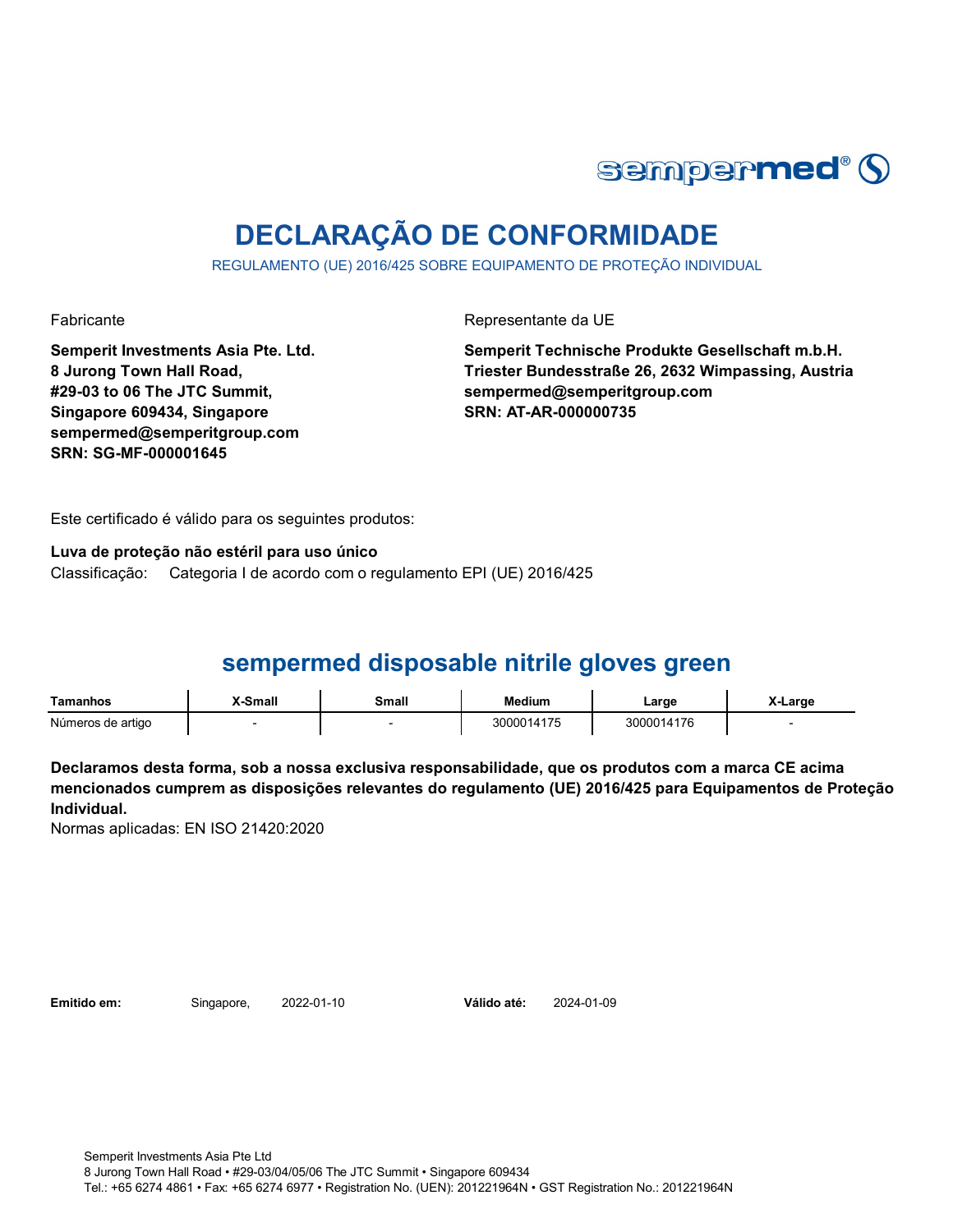

# **DECLARAÇÃO DE CONFORMIDADE**

REGULAMENTO (UE) 2016/425 SOBRE EQUIPAMENTO DE PROTEÇÃO INDIVIDUAL

Fabricante da UE

**Semperit Investments Asia Pte. Ltd. 8 Jurong Town Hall Road, #29-03 to 06 The JTC Summit, Singapore 609434, Singapore sempermed@semperitgroup.com SRN: SG-MF-000001645**

**Semperit Technische Produkte Gesellschaft m.b.H. Triester Bundesstraße 26, 2632 Wimpassing, Austria sempermed@semperitgroup.com SRN: AT-AR-000000735**

Este certificado é válido para os seguintes produtos:

**Luva de proteção não estéril para uso único**

Classificação: Categoria I de acordo com o regulamento EPI (UE) 2016/425

## **sempermed disposable nitrile gloves green**

| Tamanhos          | <b>X-Small</b> | Small | <b>Medium</b> | ∟arɑe      | X-Large |
|-------------------|----------------|-------|---------------|------------|---------|
| Números de artigo |                |       | 3000014175    | 3000014176 |         |

**Declaramos desta forma, sob a nossa exclusiva responsabilidade, que os produtos com a marca CE acima mencionados cumprem as disposições relevantes do regulamento (UE) 2016/425 para Equipamentos de Proteção Individual.**

Normas aplicadas: EN ISO 21420:2020

**Emitido em:** Singapore, 2022-01-10

Válido até: 2024-01-09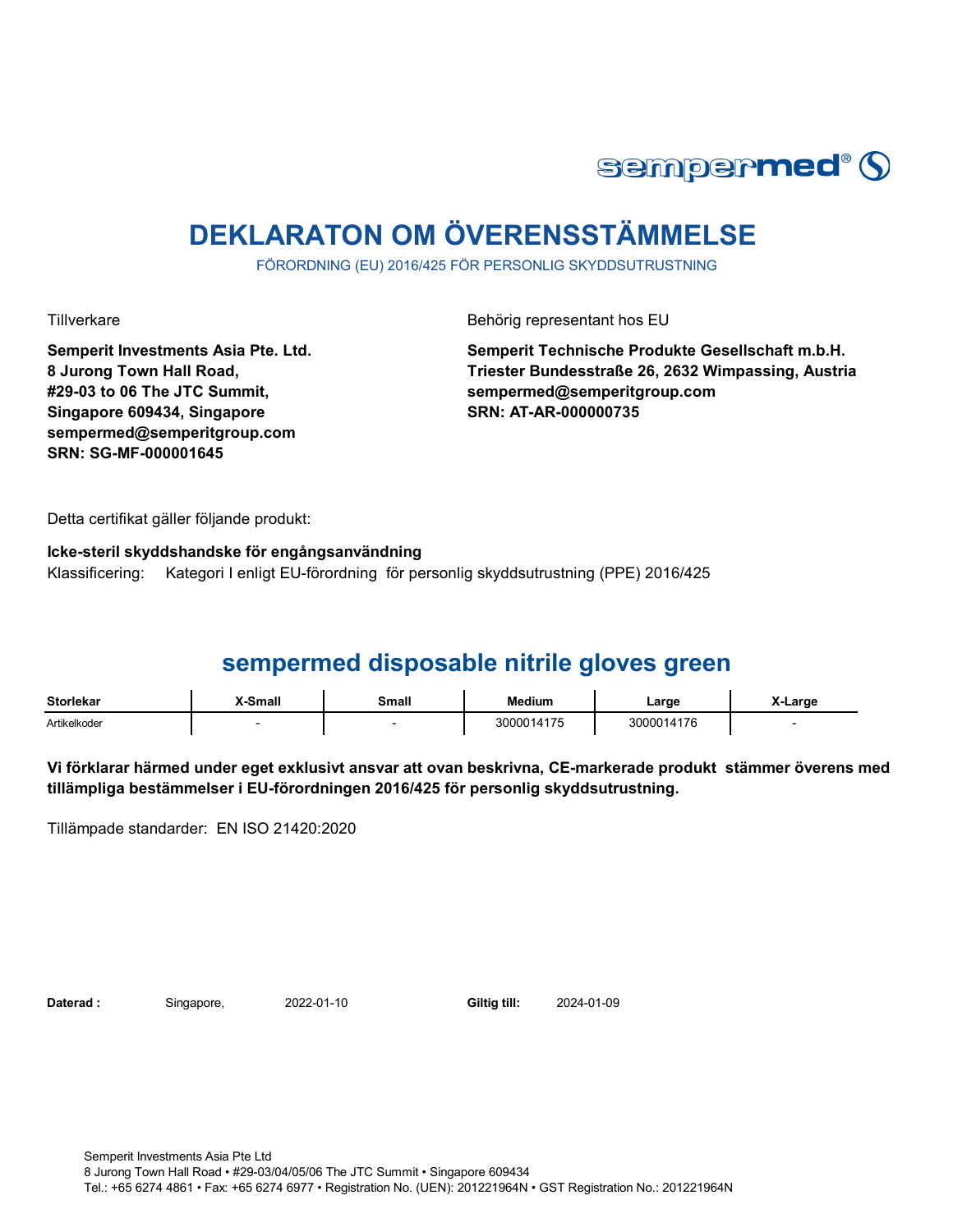

# **DEKLARATON OM ÖVERENSSTÄMMELSE**

FÖRORDNING (EU) 2016/425 FÖR PERSONLIG SKYDDSUTRUSTNING

Tillverkare Behörig representant hos EU

**Semperit Investments Asia Pte. Ltd. 8 Jurong Town Hall Road, #29-03 to 06 The JTC Summit, Singapore 609434, Singapore sempermed@semperitgroup.com SRN: SG-MF-000001645**

**Semperit Technische Produkte Gesellschaft m.b.H. Triester Bundesstraße 26, 2632 Wimpassing, Austria sempermed@semperitgroup.com SRN: AT-AR-000000735**

Detta certifikat gäller följande produkt:

**Icke-steril skyddshandske för engångsanvändning**  Klassificering: Kategori I enligt EU-förordning för personlig skyddsutrustning (PPE) 2016/425

# **sempermed disposable nitrile gloves green**

| <b>Storlekar</b> | .-Small | Small<br>_____ | edium      | ∟arge     | ∟arge |
|------------------|---------|----------------|------------|-----------|-------|
| Artikelkoder     |         |                | 3000014175 | 000014176 |       |

**Vi förklarar härmed under eget exklusivt ansvar att ovan beskrivna, CE-markerade produkt stämmer överens med tillämpliga bestämmelser i EU-förordningen 2016/425 för personlig skyddsutrustning.**

Tillämpade standarder: EN ISO 21420:2020

**Daterad :** Singapore, 2022-01-10 **Giltig till:** 

2022-01-10 2024-01-09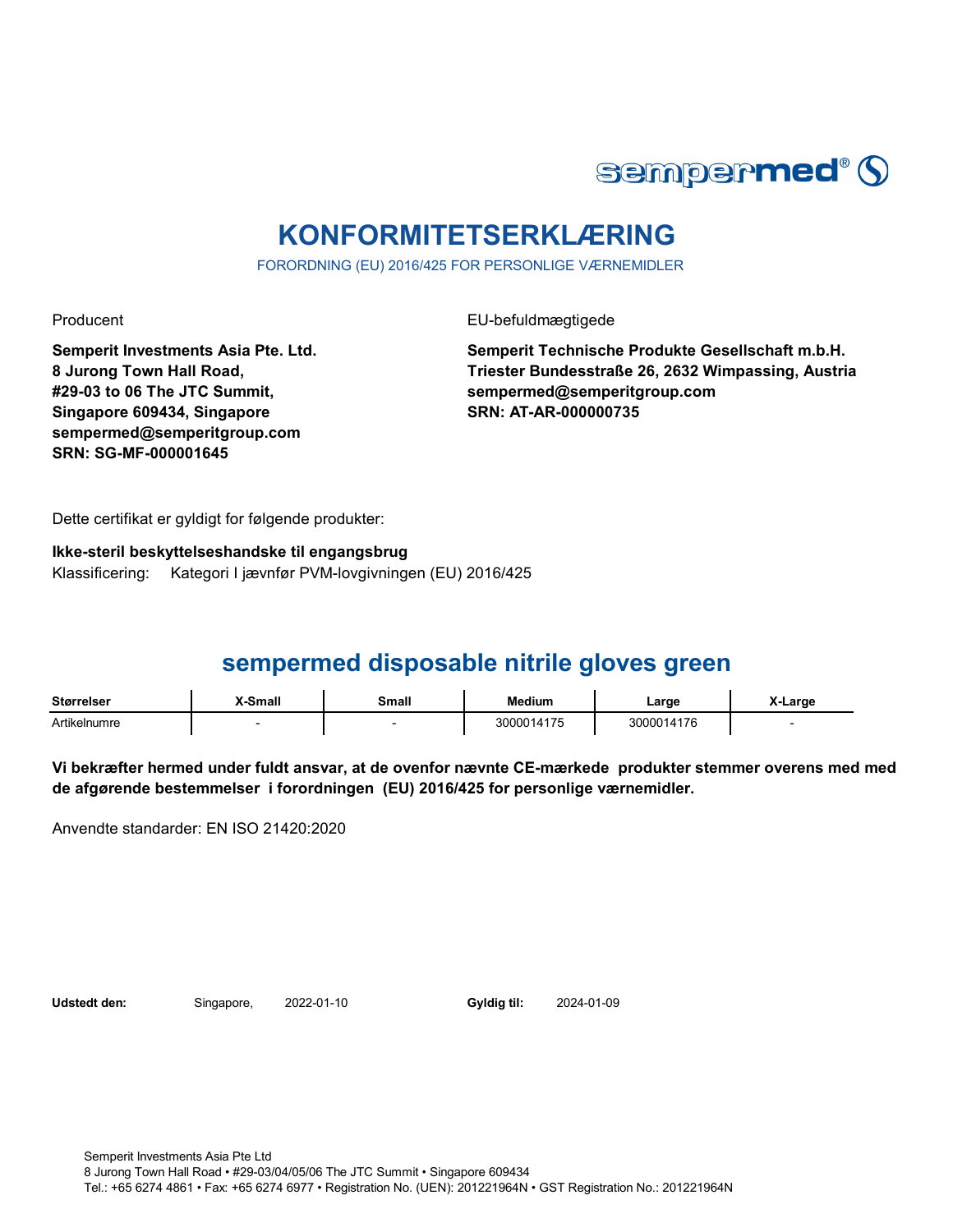

# **KONFORMITETSERKLÆRING**

FORORDNING (EU) 2016/425 FOR PERSONLIGE VÆRNEMIDLER

Producent EU-befuldmægtigede

**Semperit Investments Asia Pte. Ltd. 8 Jurong Town Hall Road, #29-03 to 06 The JTC Summit, Singapore 609434, Singapore sempermed@semperitgroup.com SRN: SG-MF-000001645**

**Semperit Technische Produkte Gesellschaft m.b.H. Triester Bundesstraße 26, 2632 Wimpassing, Austria sempermed@semperitgroup.com SRN: AT-AR-000000735**

Dette certifikat er gyldigt for følgende produkter:

**Ikke-steril beskyttelseshandske til engangsbrug** Klassificering: Kategori I jævnfør PVM-lovgivningen (EU) 2016/425

## **sempermed disposable nitrile gloves green**

| <b>Størrelser</b> | X-Small | Small | <b>Medium</b> | ∟arge      | X-Large |
|-------------------|---------|-------|---------------|------------|---------|
| Artikelnumre      |         |       | 3000014175    | 3000014176 |         |

**Vi bekræfter hermed under fuldt ansvar, at de ovenfor nævnte CE-mærkede produkter stemmer overens med med de afgørende bestemmelser i forordningen (EU) 2016/425 for personlige værnemidler.** 

Anvendte standarder: EN ISO 21420:2020

**Udstedt den:** Singapore, **Gyldig til:**

2024-01-09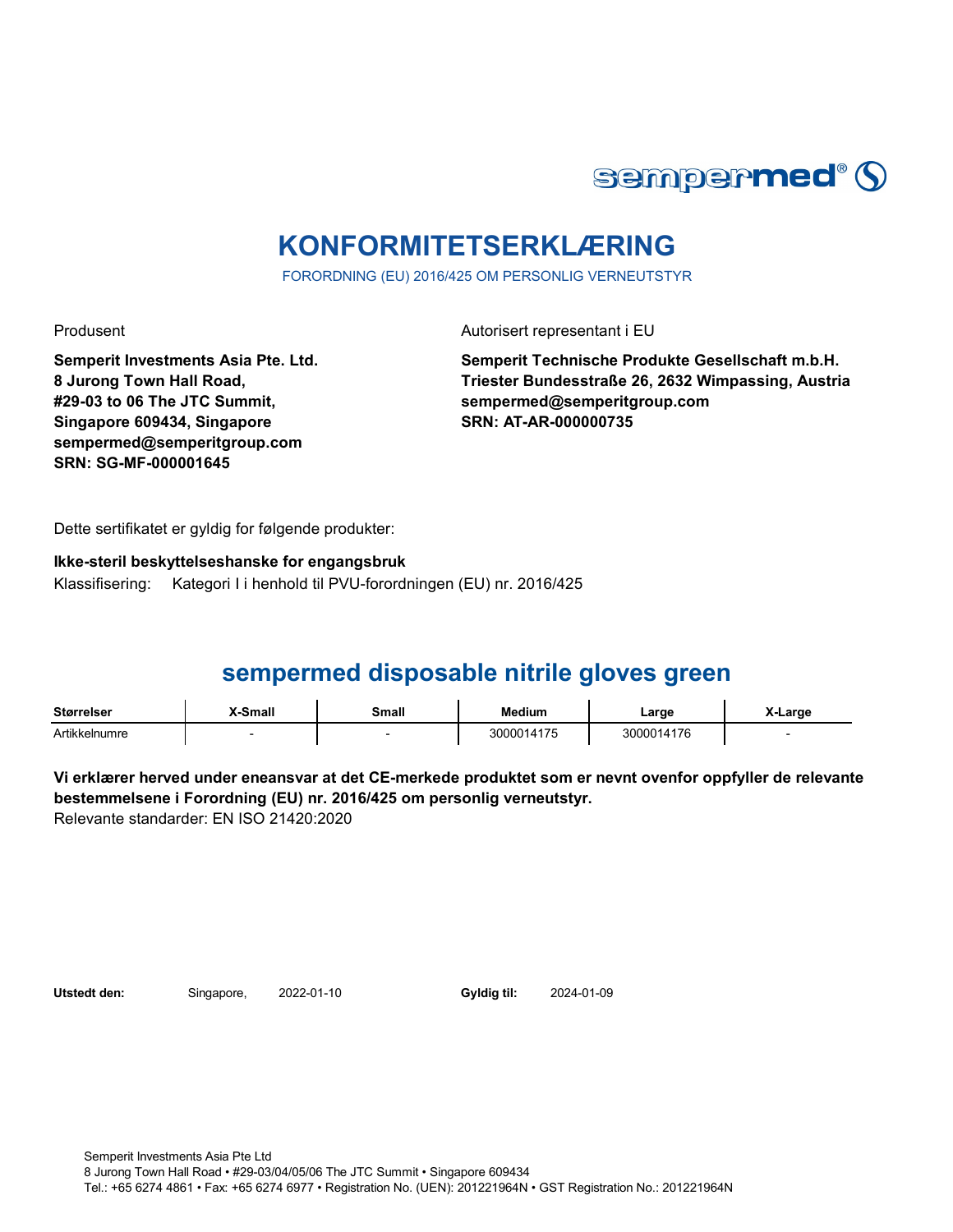

# **KONFORMITETSERKLÆRING**

FORORDNING (EU) 2016/425 OM PERSONLIG VERNEUTSTYR

**Semperit Investments Asia Pte. Ltd. 8 Jurong Town Hall Road, #29-03 to 06 The JTC Summit, Singapore 609434, Singapore sempermed@semperitgroup.com SRN: SG-MF-000001645**

Produsent Autorisert representant i EU

**Semperit Technische Produkte Gesellschaft m.b.H. Triester Bundesstraße 26, 2632 Wimpassing, Austria sempermed@semperitgroup.com SRN: AT-AR-000000735**

Dette sertifikatet er gyldig for følgende produkter:

### **Ikke-steril beskyttelseshanske for engangsbruk** Klassifisering: Kategori I i henhold til PVU-forordningen (EU) nr. 2016/425

# **sempermed disposable nitrile gloves green**

| <b>Størrelser</b> | X-Small | Small | <b>Medium</b> | Large      | X-Large |
|-------------------|---------|-------|---------------|------------|---------|
| Artikkelnumre     |         |       | 3000014175    | 3000014176 |         |

**Vi erklærer herved under eneansvar at det CE-merkede produktet som er nevnt ovenfor oppfyller de relevante bestemmelsene i Forordning (EU) nr. 2016/425 om personlig verneutstyr.** Relevante standarder: EN ISO 21420:2020

Utstedt den: Singapore, 2022-01-10 Gyldig til:

2024-01-09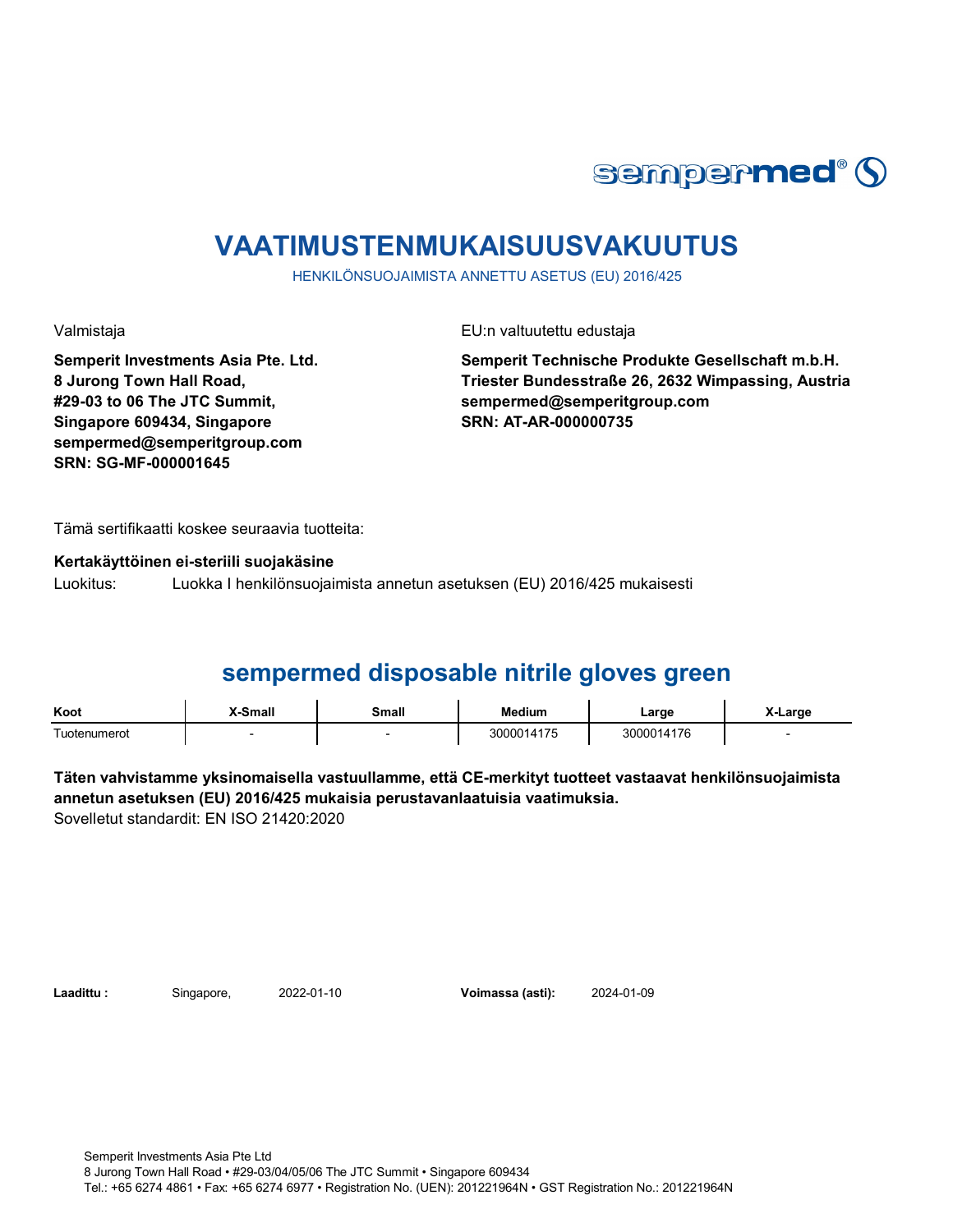

# **VAATIMUSTENMUKAISUUSVAKUUTUS**

HENKILÖNSUOJAIMISTA ANNETTU ASETUS (EU) 2016/425

**Semperit Investments Asia Pte. Ltd. 8 Jurong Town Hall Road, #29-03 to 06 The JTC Summit, Singapore 609434, Singapore sempermed@semperitgroup.com SRN: SG-MF-000001645**

Valmistaja EU:n valtuutettu edustaja

**Semperit Technische Produkte Gesellschaft m.b.H. Triester Bundesstraße 26, 2632 Wimpassing, Austria sempermed@semperitgroup.com SRN: AT-AR-000000735**

Tämä sertifikaatti koskee seuraavia tuotteita:

**Kertakäyttöinen ei-steriili suojakäsine**

Luokitus: Luokka I henkilönsuojaimista annetun asetuksen (EU) 2016/425 mukaisesti

## **sempermed disposable nitrile gloves green**

| Koot         | <b>Y-Small</b> | Small | Medium     | ∟arge      | X-Large |
|--------------|----------------|-------|------------|------------|---------|
| Tuotenumerot |                |       | 3000014175 | 3000014176 |         |

**Täten vahvistamme yksinomaisella vastuullamme, että CE-merkityt tuotteet vastaavat henkilönsuojaimista annetun asetuksen (EU) 2016/425 mukaisia perustavanlaatuisia vaatimuksia.** Sovelletut standardit: EN ISO 21420:2020

**Laadittu :** Singapore, **Voimassa (asti):** 2022-01-10 2024-01-09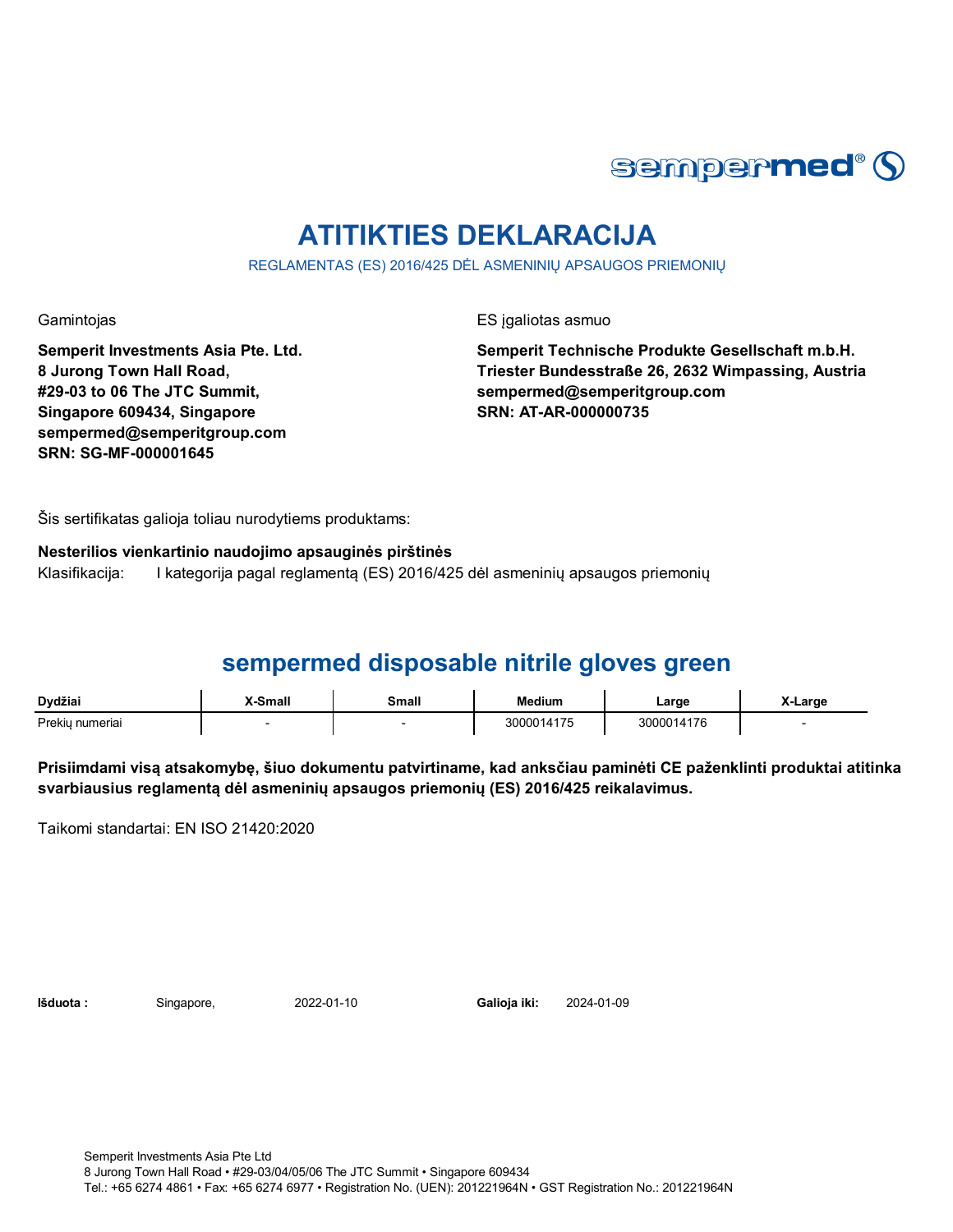

# **ATITIKTIES DEKLARACIJA**

REGLAMENTAS (ES) 2016/425 DĖL ASMENINIŲ APSAUGOS PRIEMONIŲ

Gamintojas ES įgaliotas asmuo

**Semperit Investments Asia Pte. Ltd. 8 Jurong Town Hall Road, #29-03 to 06 The JTC Summit, Singapore 609434, Singapore sempermed@semperitgroup.com SRN: SG-MF-000001645**

**Semperit Technische Produkte Gesellschaft m.b.H. Triester Bundesstraße 26, 2632 Wimpassing, Austria sempermed@semperitgroup.com SRN: AT-AR-000000735**

Šis sertifikatas galioja toliau nurodytiems produktams:

**Nesterilios vienkartinio naudojimo apsauginės pirštinės** Klasifikacija: I kategorija pagal reglamentą (ES) 2016/425 dėl asmeninių apsaugos priemonių

# **sempermed disposable nitrile gloves green**

| Dvdžiai         | <b>K-Small</b><br>____ | Small | <b>Medium</b> | ∟arge    | Large |
|-----------------|------------------------|-------|---------------|----------|-------|
| Prekiu numeriai |                        |       | 3000014175    | 00014176 |       |

**Prisiimdami visą atsakomybę, šiuo dokumentu patvirtiname, kad anksčiau paminėti CE paženklinti produktai atitinka svarbiausius reglamentą dėl asmeninių apsaugos priemonių (ES) 2016/425 reikalavimus.**

Taikomi standartai: EN ISO 21420:2020

**Išduota :** Singapore, **Galioja iki:**

2022-01-10 2024-01-09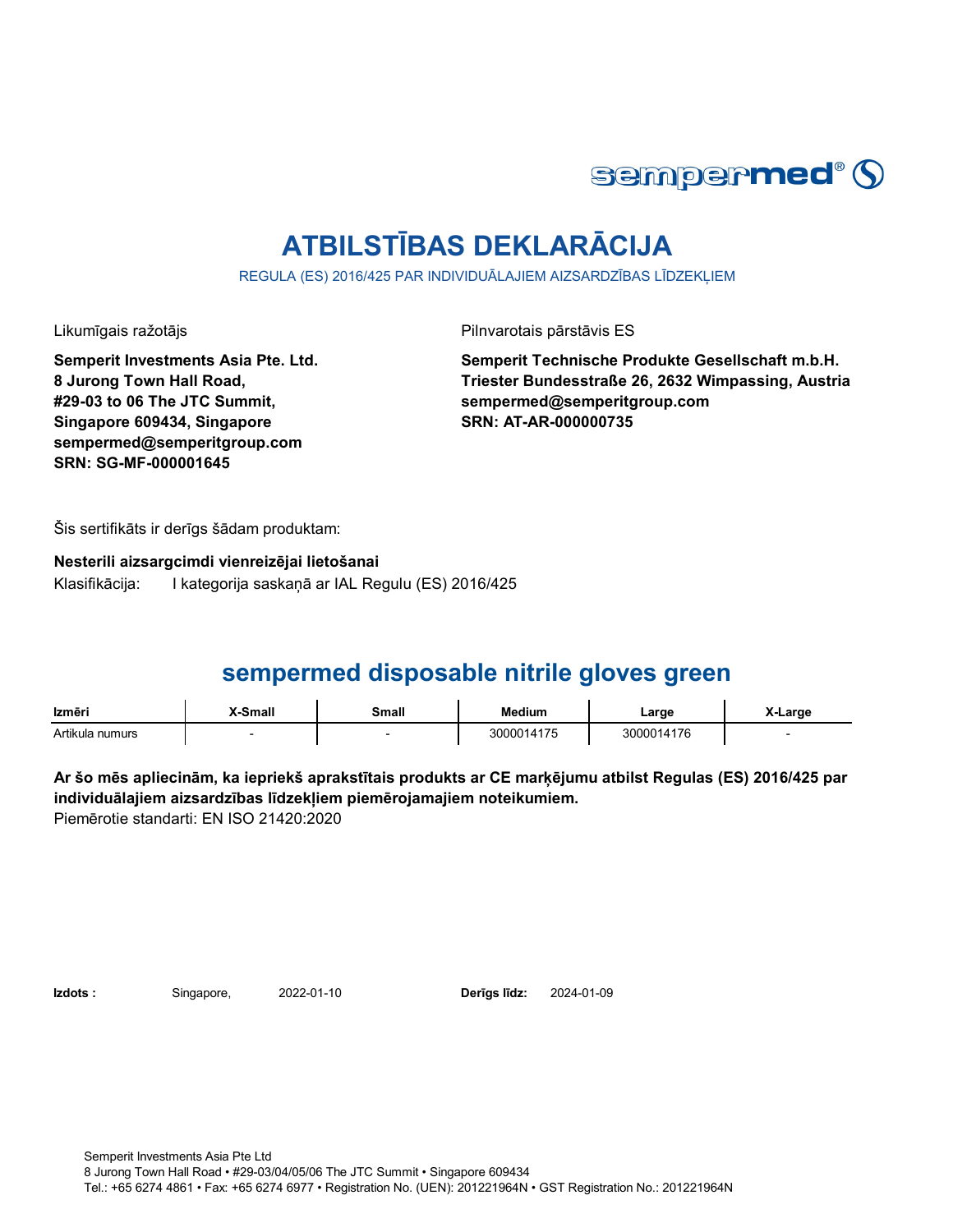

# **ATBILSTĪBAS DEKLARĀCIJA**

REGULA (ES) 2016/425 PAR INDIVIDUĀLAJIEM AIZSARDZĪBAS LĪDZEKĻIEM

**Semperit Investments Asia Pte. Ltd. 8 Jurong Town Hall Road, #29-03 to 06 The JTC Summit, Singapore 609434, Singapore sempermed@semperitgroup.com SRN: SG-MF-000001645**

Likumīgais ražotājs Pilnvarotais pārstāvis ES

**Semperit Technische Produkte Gesellschaft m.b.H. Triester Bundesstraße 26, 2632 Wimpassing, Austria sempermed@semperitgroup.com SRN: AT-AR-000000735**

Šis sertifikāts ir derīgs šādam produktam:

**Nesterili aizsargcimdi vienreizējai lietošanai** Klasifikācija: I kategorija saskaņā ar IAL Regulu (ES) 2016/425

## **sempermed disposable nitrile gloves green**

| Izmēri          | X-Small | Small | <b>Medium</b> | Large      | X-Large |
|-----------------|---------|-------|---------------|------------|---------|
| Artikula numurs |         |       | 3000014175    | 3000014176 |         |

**Ar šo mēs apliecinām, ka iepriekš aprakstītais produkts ar CE marķējumu atbilst Regulas (ES) 2016/425 par individuālajiem aizsardzības līdzekļiem piemērojamajiem noteikumiem.** Piemērotie standarti: EN ISO 21420:2020

**Izdots :** Singapore, 2022-01-10 **Derīgs līdz:** 2024-01-09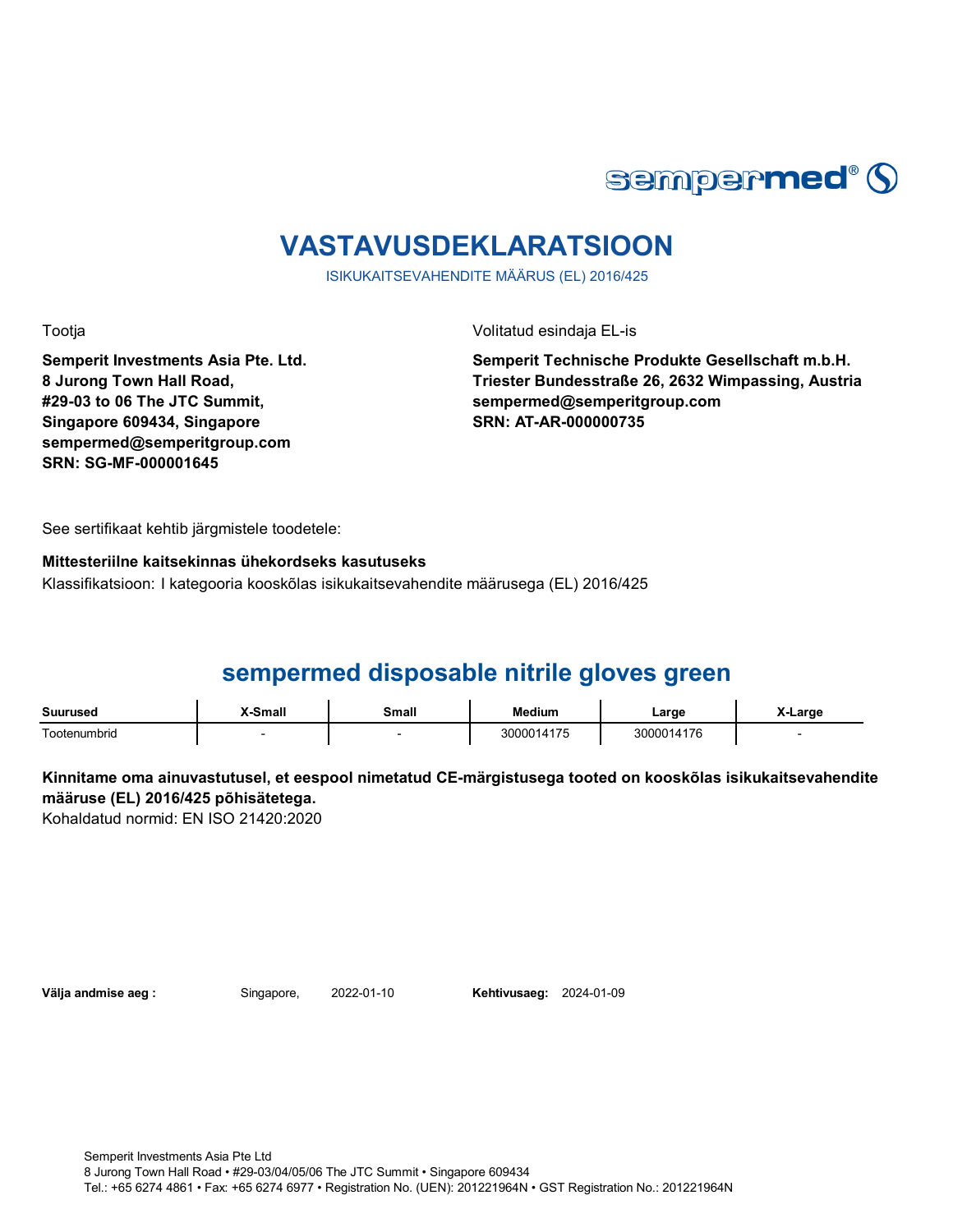

# **VASTAVUSDEKLARATSIOON**

ISIKUKAITSEVAHENDITE MÄÄRUS (EL) 2016/425

**Semperit Investments Asia Pte. Ltd. 8 Jurong Town Hall Road, #29-03 to 06 The JTC Summit, Singapore 609434, Singapore sempermed@semperitgroup.com SRN: SG-MF-000001645**

Tootja Volitatud esindaja EL-is

**Semperit Technische Produkte Gesellschaft m.b.H. Triester Bundesstraße 26, 2632 Wimpassing, Austria sempermed@semperitgroup.com SRN: AT-AR-000000735**

See sertifikaat kehtib järgmistele toodetele:

### **Mittesteriilne kaitsekinnas ühekordseks kasutuseks** Klassifikatsioon: I kategooria kooskõlas isikukaitsevahendite määrusega (EL) 2016/425

# **sempermed disposable nitrile gloves green**

| Suurused     | Smalı | `malı | Medium                          | ∟arge                | .arge |
|--------------|-------|-------|---------------------------------|----------------------|-------|
| .            |       |       |                                 | $\sim$               |       |
| ⊺ootenumbrid |       |       | <b>475</b><br>חחחר<br>ں ا<br>__ | 176<br>14.<br>$\sim$ |       |

### **Kinnitame oma ainuvastutusel, et eespool nimetatud CE-märgistusega tooted on kooskõlas isikukaitsevahendite määruse (EL) 2016/425 põhisätetega.**

Kohaldatud normid: EN ISO 21420:2020

**Välja andmise aeg :** Singapore, 2022-01-10

**Kehtivusaeg: 2024-01-09**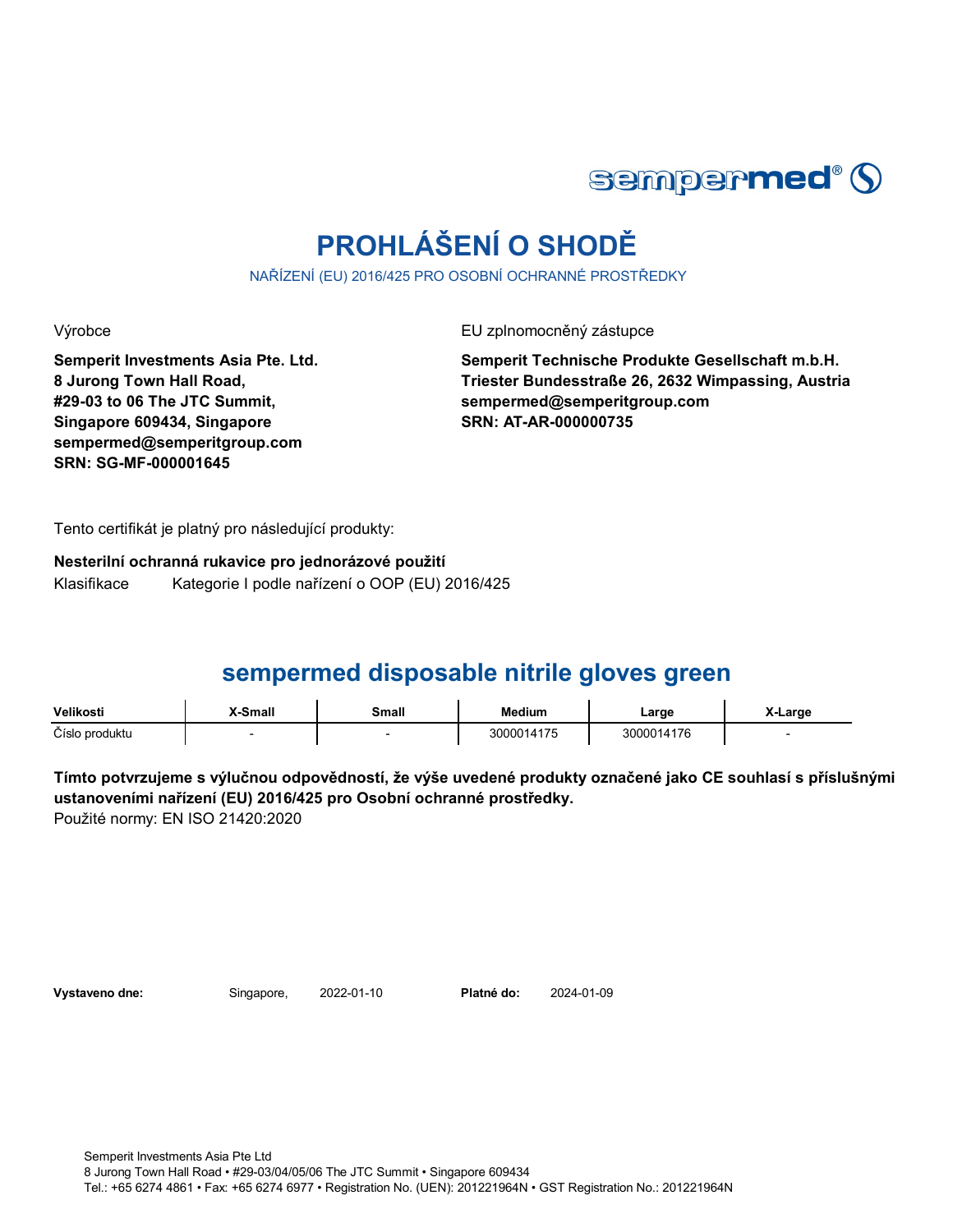

# **PROHLÁŠENÍ O SHODĚ**

NAŘÍZENÍ (EU) 2016/425 PRO OSOBNÍ OCHRANNÉ PROSTŘEDKY

**Semperit Investments Asia Pte. Ltd. 8 Jurong Town Hall Road, #29-03 to 06 The JTC Summit, Singapore 609434, Singapore sempermed@semperitgroup.com SRN: SG-MF-000001645**

Výrobce EU zplnomocněný zástupce

**Semperit Technische Produkte Gesellschaft m.b.H. Triester Bundesstraße 26, 2632 Wimpassing, Austria sempermed@semperitgroup.com SRN: AT-AR-000000735**

Tento certifikát je platný pro následující produkty:

**Nesterilní ochranná rukavice pro jednorázové použití** Klasifikace Kategorie I podle nařízení o OOP (EU) 2016/425

## **sempermed disposable nitrile gloves green**

| Velikosti      | <b>X-Small</b> | Small | <b>Medium</b> | ∟arge      | X-Large |
|----------------|----------------|-------|---------------|------------|---------|
| Číslo produktu |                |       | 3000014175    | 3000014176 |         |

**Tímto potvrzujeme s výlučnou odpovědností, že výše uvedené produkty označené jako CE souhlasí s příslušnými ustanoveními nařízení (EU) 2016/425 pro Osobní ochranné prostředky.** Použité normy: EN ISO 21420:2020

**Vystaveno dne:** Singapore, 2022-01-10

Platné do: 2024-01-09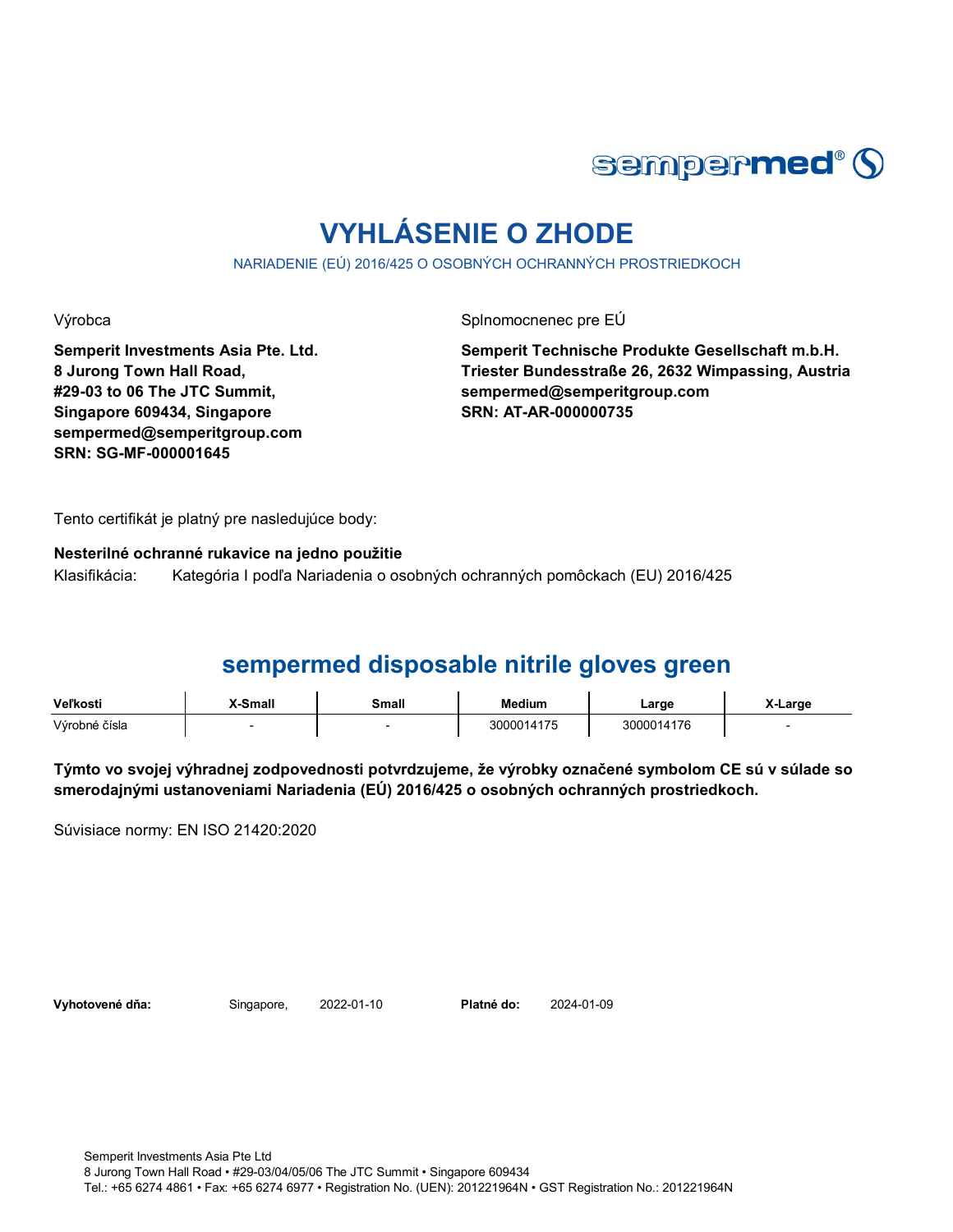

# **VYHLÁSENIE O ZHODE**

NARIADENIE (EÚ) 2016/425 O OSOBNÝCH OCHRANNÝCH PROSTRIEDKOCH

Výrobca Splnomocnenec pre EÚ

**Semperit Investments Asia Pte. Ltd. 8 Jurong Town Hall Road, #29-03 to 06 The JTC Summit, Singapore 609434, Singapore sempermed@semperitgroup.com SRN: SG-MF-000001645**

**Semperit Technische Produkte Gesellschaft m.b.H. Triester Bundesstraße 26, 2632 Wimpassing, Austria sempermed@semperitgroup.com SRN: AT-AR-000000735**

Tento certifikát je platný pre nasledujúce body:

**Nesterilné ochranné rukavice na jedno použitie**

Klasifikácia: Kategória I podľa Nariadenia o osobných ochranných pomôckach (EU) 2016/425

### **sempermed disposable nitrile gloves green**

| <b>Veľkosti</b> | X-Small | <b>Small</b> | Medium     | Large      | ∡-Large |
|-----------------|---------|--------------|------------|------------|---------|
| Výrobné čísla   |         |              | 3000014175 | 3000014176 |         |

**Týmto vo svojej výhradnej zodpovednosti potvrdzujeme, že výrobky označené symbolom CE sú v súlade so smerodajnými ustanoveniami Nariadenia (EÚ) 2016/425 o osobných ochranných prostriedkoch.**

Súvisiace normy: EN ISO 21420:2020

**Vyhotovené dňa:** Singapore, 2022-01-10

Platné do: 2024-01-09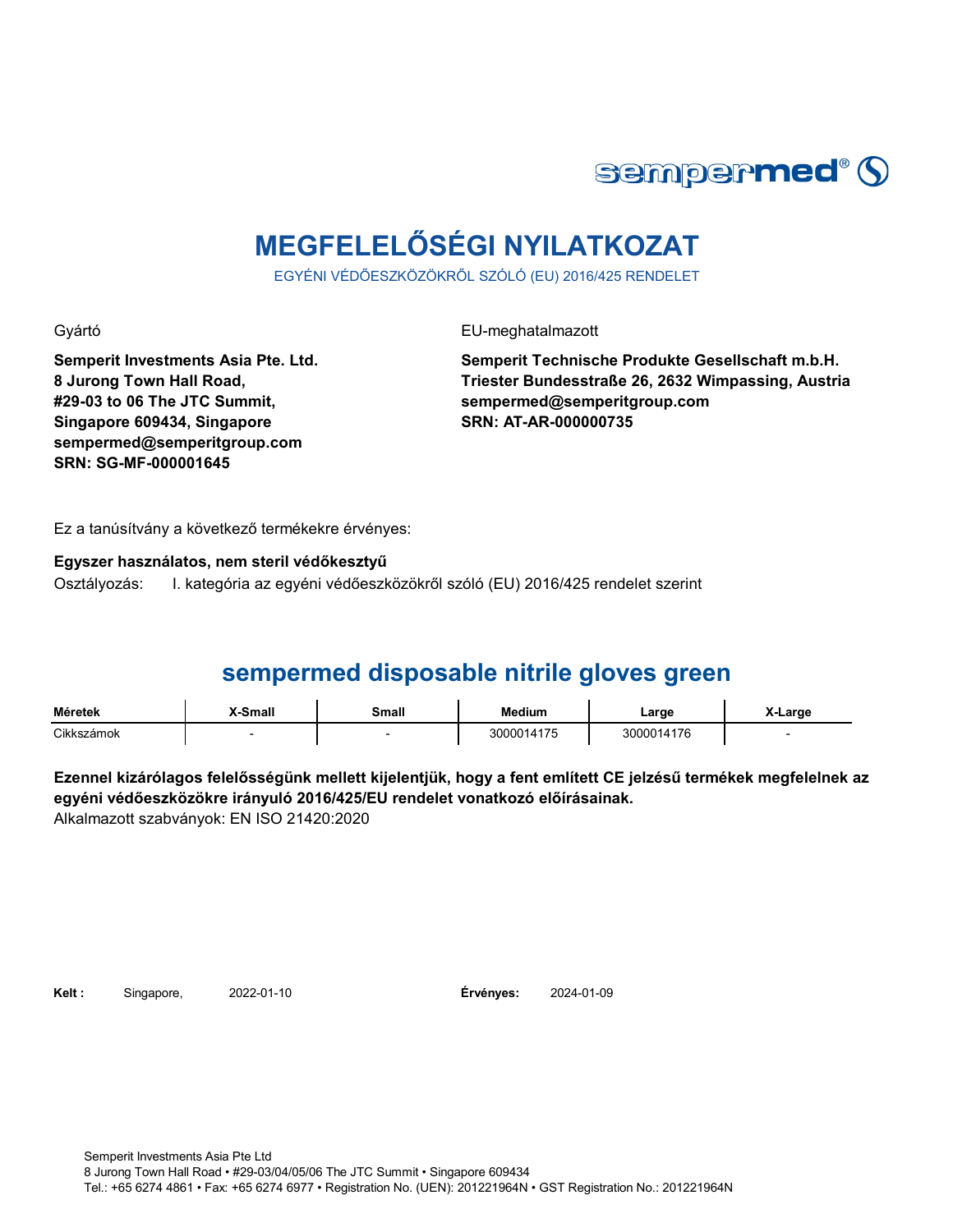

# **MEGFELELŐSÉGI NYILATKOZAT**

EGYÉNI VÉDŐESZKÖZÖKRŐL SZÓLÓ (EU) 2016/425 RENDELET

**Semperit Investments Asia Pte. Ltd. 8 Jurong Town Hall Road, #29-03 to 06 The JTC Summit, Singapore 609434, Singapore sempermed@semperitgroup.com SRN: SG-MF-000001645**

Gyártó EU-meghatalmazott

**Semperit Technische Produkte Gesellschaft m.b.H. Triester Bundesstraße 26, 2632 Wimpassing, Austria sempermed@semperitgroup.com SRN: AT-AR-000000735**

Ez a tanúsítvány a következő termékekre érvényes:

### **Egyszer használatos, nem steril védőkesztyű**

Osztályozás: I. kategória az egyéni védőeszközökről szóló (EU) 2016/425 rendelet szerint

### **sempermed disposable nitrile gloves green**

| <b>Méretek</b> | <b>.</b> Small | Small | <b>Medium</b> | ∟arge      | -Large |
|----------------|----------------|-------|---------------|------------|--------|
| Cikkszámok     |                |       | 3000014175    | 3000014176 |        |

**Ezennel kizárólagos felelősségünk mellett kijelentjük, hogy a fent említett CE jelzésű termékek megfelelnek az egyéni védőeszközökre irányuló 2016/425/EU rendelet vonatkozó előírásainak.** Alkalmazott szabványok: EN ISO 21420:2020

**Kelt :** Singapore, **Érvényes:**

2024-01-09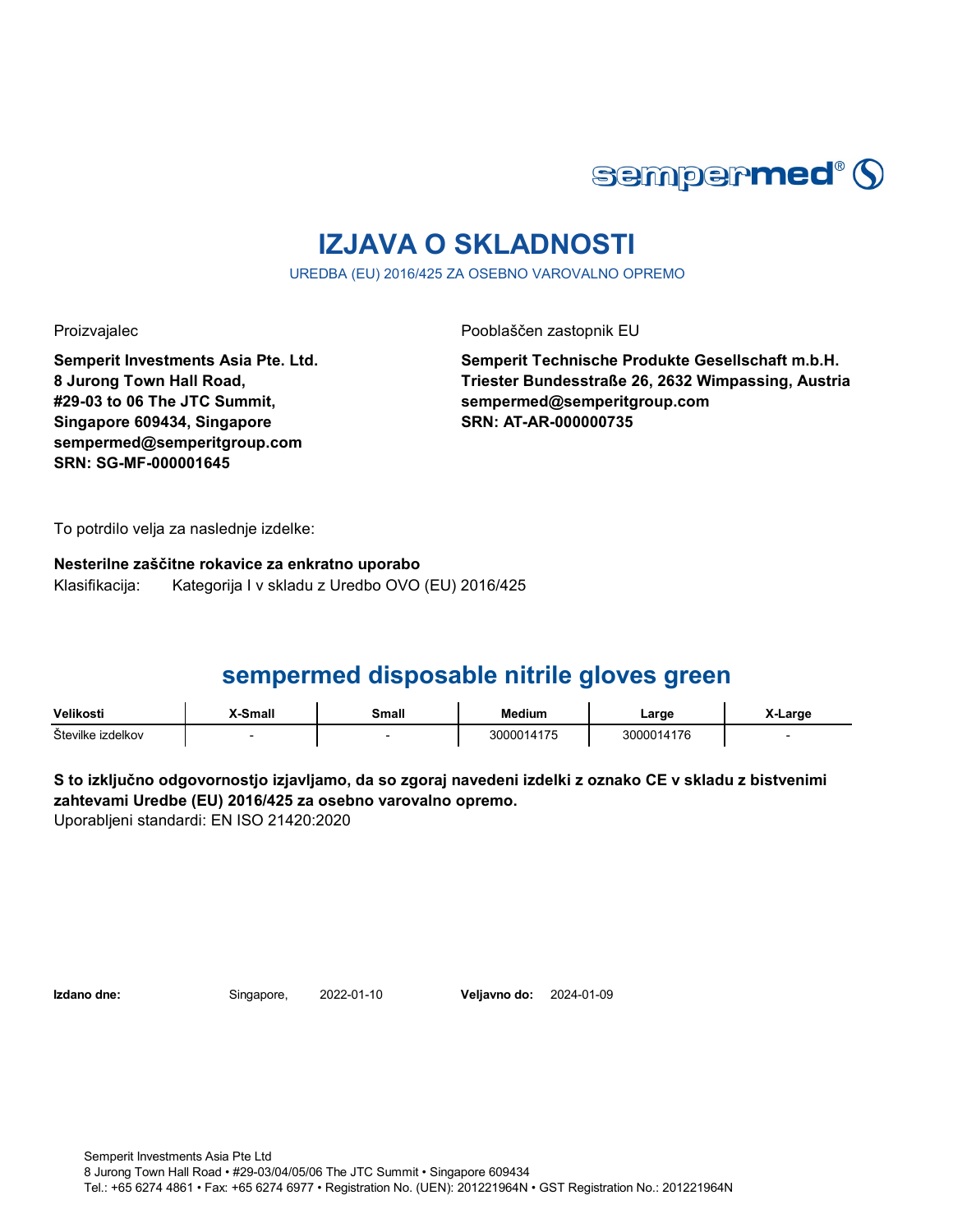

# **IZJAVA O SKLADNOSTI**

UREDBA (EU) 2016/425 ZA OSEBNO VAROVALNO OPREMO

**Semperit Investments Asia Pte. Ltd. 8 Jurong Town Hall Road, #29-03 to 06 The JTC Summit, Singapore 609434, Singapore sempermed@semperitgroup.com SRN: SG-MF-000001645**

Proizvajalec Pooblaščen zastopnik EU

**Semperit Technische Produkte Gesellschaft m.b.H. Triester Bundesstraße 26, 2632 Wimpassing, Austria sempermed@semperitgroup.com SRN: AT-AR-000000735**

To potrdilo velja za naslednje izdelke:

**Nesterilne zaščitne rokavice za enkratno uporabo** Klasifikacija: Kategorija I v skladu z Uredbo OVO (EU) 2016/425

## **sempermed disposable nitrile gloves green**

| Velikosti         | <b>X-Small</b> | Small | Medium     | ∟arge      | ∡-Large |
|-------------------|----------------|-------|------------|------------|---------|
| Številke izdelkov |                |       | 3000014175 | 3000014176 |         |

**S to izključno odgovornostjo izjavljamo, da so zgoraj navedeni izdelki z oznako CE v skladu z bistvenimi zahtevami Uredbe (EU) 2016/425 za osebno varovalno opremo.**

Uporabljeni standardi: EN ISO 21420:2020

**Izdano dne:** Singapore, **Veljavno do:** 2022-01-10 2024-01-09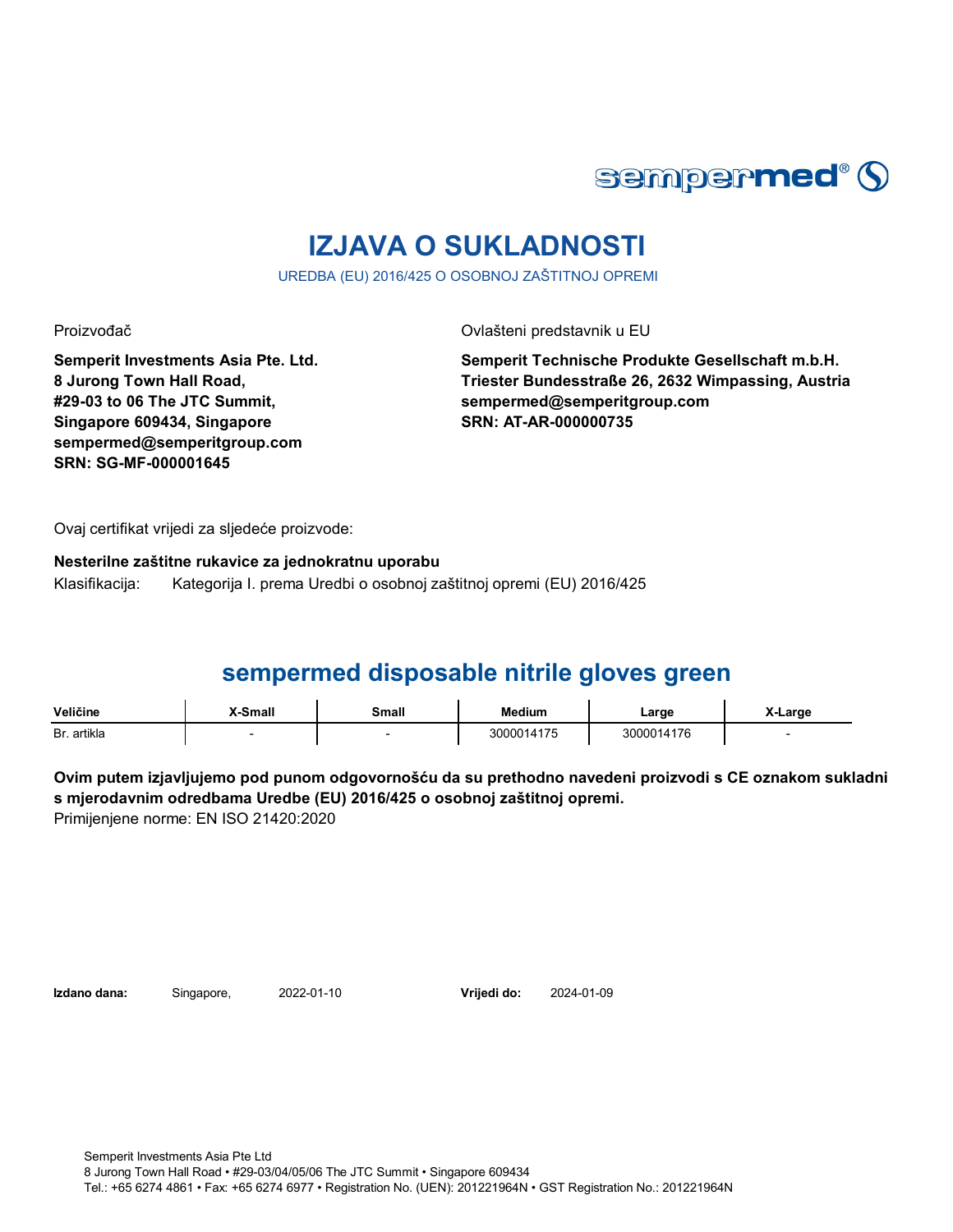

# **IZJAVA O SUKLADNOSTI**

UREDBA (EU) 2016/425 O OSOBNOJ ZAŠTITNOJ OPREMI

**Semperit Investments Asia Pte. Ltd. 8 Jurong Town Hall Road, #29-03 to 06 The JTC Summit, Singapore 609434, Singapore sempermed@semperitgroup.com SRN: SG-MF-000001645**

Proizvođač Ovlašteni predstavnik u EU

**Semperit Technische Produkte Gesellschaft m.b.H. Triester Bundesstraße 26, 2632 Wimpassing, Austria sempermed@semperitgroup.com SRN: AT-AR-000000735**

Ovaj certifikat vrijedi za sljedeće proizvode:

**Nesterilne zaštitne rukavice za jednokratnu uporabu** Klasifikacija: Kategorija I. prema Uredbi o osobnoj zaštitnoj opremi (EU) 2016/425

### **sempermed disposable nitrile gloves green**

| Veličine    | <b>K-Small</b> | Small | <b>Medium</b> | ∟arɑe      | _arɑe |
|-------------|----------------|-------|---------------|------------|-------|
| Br. artikla |                |       | 3000014175    | 3000014176 |       |

**Ovim putem izjavljujemo pod punom odgovornošću da su prethodno navedeni proizvodi s CE oznakom sukladni s mjerodavnim odredbama Uredbe (EU) 2016/425 o osobnoj zaštitnoj opremi.** Primijenjene norme: EN ISO 21420:2020

**Izdano dana:** Singapore, 2022-01-10

**Vrijedi do:** 2024-01-09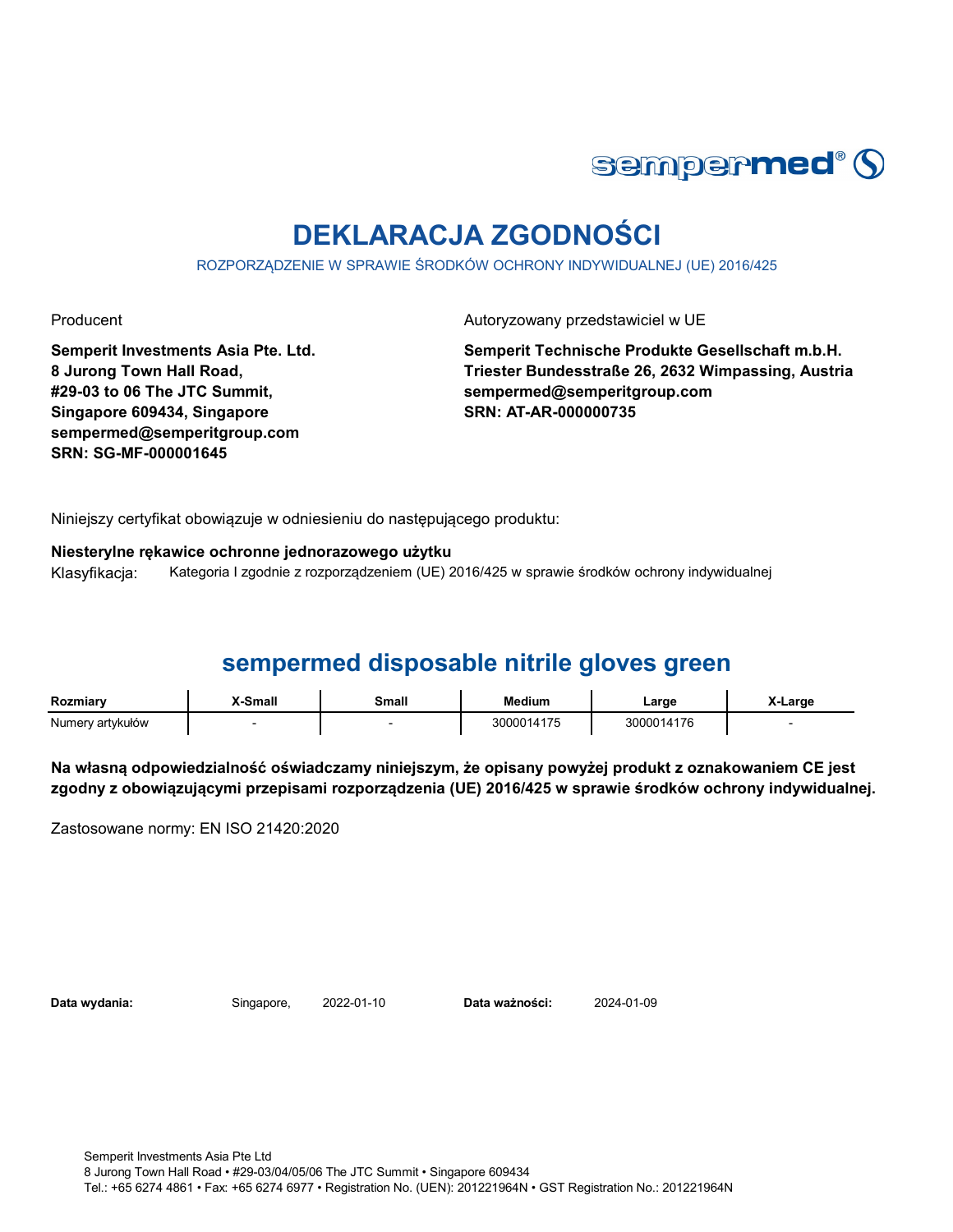

# **DEKLARACJA ZGODNOŚCI**

ROZPORZĄDZENIE W SPRAWIE ŚRODKÓW OCHRONY INDYWIDUALNEJ (UE) 2016/425

Producent **Autoryzowany przedstawiciel w UE** 

**Semperit Investments Asia Pte. Ltd. 8 Jurong Town Hall Road, #29-03 to 06 The JTC Summit, Singapore 609434, Singapore sempermed@semperitgroup.com SRN: SG-MF-000001645**

**Semperit Technische Produkte Gesellschaft m.b.H. Triester Bundesstraße 26, 2632 Wimpassing, Austria sempermed@semperitgroup.com SRN: AT-AR-000000735**

Niniejszy certyfikat obowiązuje w odniesieniu do następującego produktu:

**Niesterylne rękawice ochronne jednorazowego użytku**

Klasyfikacja: Kategoria I zgodnie z rozporządzeniem (UE) 2016/425 w sprawie środków ochrony indywidualnej

## **sempermed disposable nitrile gloves green**

| Rozmiarv         | X-Small | Small | <b>Medium</b> | Large      | X-Large |
|------------------|---------|-------|---------------|------------|---------|
| Numery artykułów |         |       | 3000014175    | 3000014176 |         |

**Na własną odpowiedzialność oświadczamy niniejszym, że opisany powyżej produkt z oznakowaniem CE jest zgodny z obowiązującymi przepisami rozporządzenia (UE) 2016/425 w sprawie środków ochrony indywidualnej.**

Zastosowane normy: EN ISO 21420:2020

**Data wydania:** Singapore, **Data ważności:** 2022-01-10 2024-01-09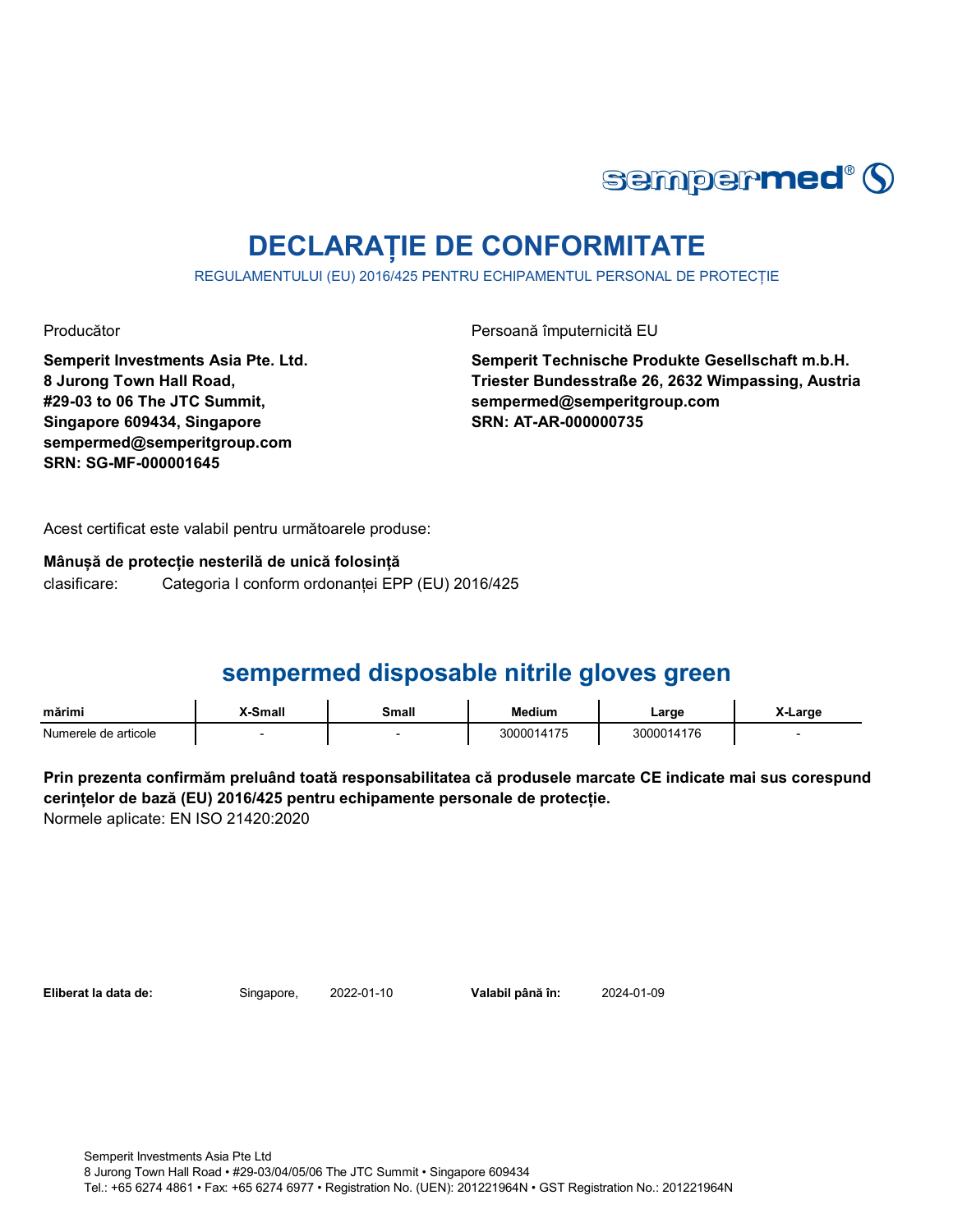

# **DECLARAȚIE DE CONFORMITATE**

REGULAMENTULUI (EU) 2016/425 PENTRU ECHIPAMENTUL PERSONAL DE PROTECȚIE

**Semperit Investments Asia Pte. Ltd. 8 Jurong Town Hall Road, #29-03 to 06 The JTC Summit, Singapore 609434, Singapore sempermed@semperitgroup.com SRN: SG-MF-000001645**

Producător Persoană împuternicită EU

**Semperit Technische Produkte Gesellschaft m.b.H. Triester Bundesstraße 26, 2632 Wimpassing, Austria sempermed@semperitgroup.com SRN: AT-AR-000000735**

Acest certificat este valabil pentru următoarele produse:

**Mânușă de protecție nesterilă de unică folosință** clasificare: Categoria I conform ordonanței EPP (EU) 2016/425

## **sempermed disposable nitrile gloves green**

| $\sim$ $\sim$<br>mārimi   | Small | `mali | Medium                       | ∟arge          | .arge<br>__ |
|---------------------------|-------|-------|------------------------------|----------------|-------------|
| Numerele .<br>de articole |       |       | $\rightarrow$<br>.<br>$\sim$ | 117G<br>$\sim$ |             |

**Prin prezenta confirmăm preluând toată responsabilitatea că produsele marcate CE indicate mai sus corespund cerințelor de bază (EU) 2016/425 pentru echipamente personale de protecție.** Normele aplicate: EN ISO 21420:2020

**Eliberat la data de:** Singapore, 2022-01-10

Valabil până în: 2024-01-09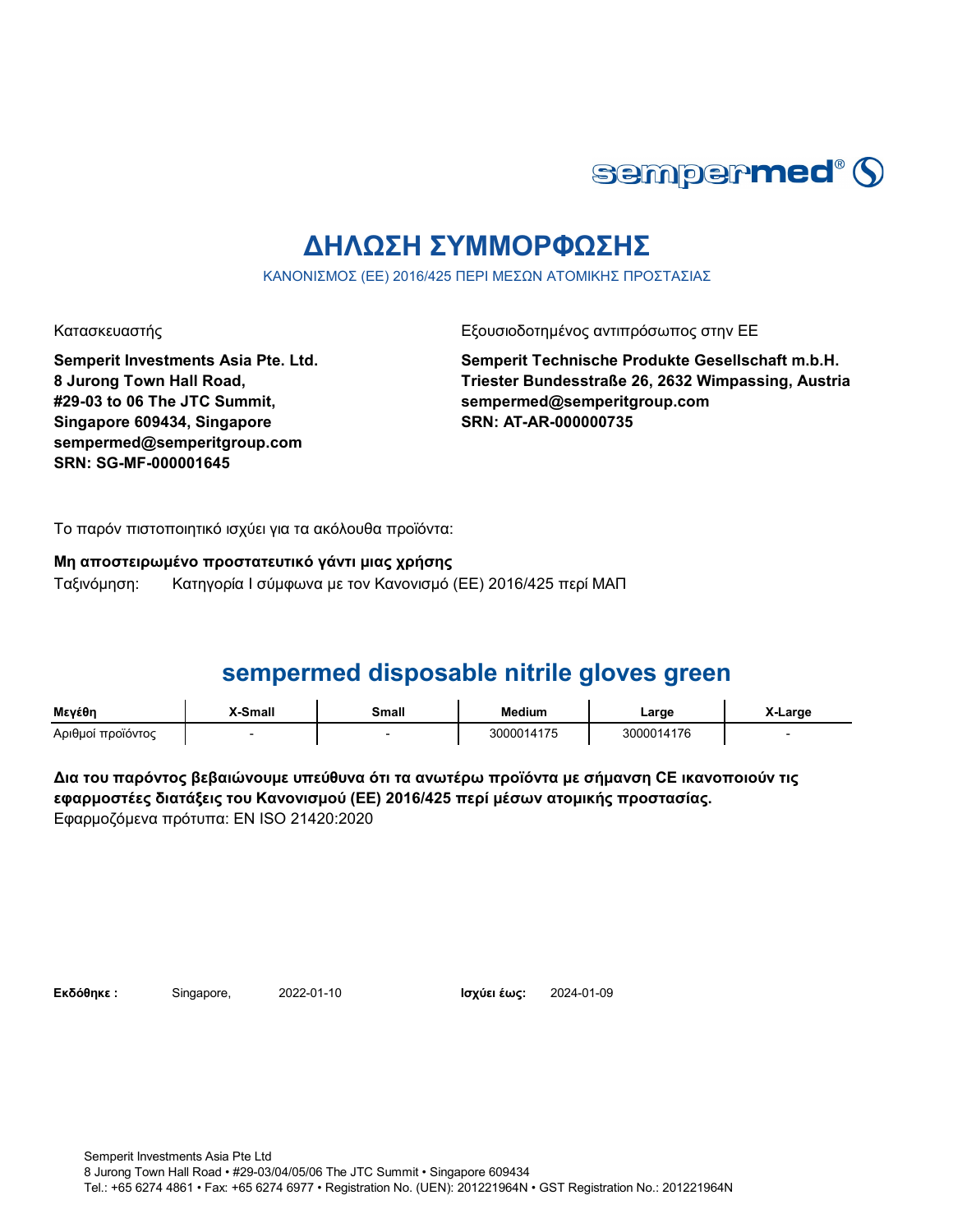

# **ΔΗΛΩΣΗ ΣΥΜΜΟΡΦΩΣΗΣ**

ΚΑΝΟΝΙΣΜΟΣ (ΕΕ) 2016/425 ΠΕΡΙ ΜΕΣΩΝ ΑΤΟΜΙΚΗΣ ΠΡΟΣΤΑΣΙΑΣ

**Semperit Investments Asia Pte. Ltd. 8 Jurong Town Hall Road, #29-03 to 06 The JTC Summit, Singapore 609434, Singapore sempermed@semperitgroup.com SRN: SG-MF-000001645**

Κατασκευαστής Γεριοδοτημένος αντιπρόσωπος στην ΕΕ

**Semperit Technische Produkte Gesellschaft m.b.H. Triester Bundesstraße 26, 2632 Wimpassing, Austria sempermed@semperitgroup.com SRN: AT-AR-000000735**

Το παρόν πιστοποιητικό ισχύει για τα ακόλουθα προϊόντα:

### **Μη αποστειρωμένο προστατευτικό γάντι μιας χρήσης** Ταξινόμηση: Κατηγορία I σύμφωνα με τον Κανονισμό (ΕΕ) 2016/425 περί ΜΑΠ

# **sempermed disposable nitrile gloves green**

| Μενέθη            | <b>X-Small</b> | Small | <b>Medium</b> | ∟arge      | X-Large |
|-------------------|----------------|-------|---------------|------------|---------|
| Αριθμοί προϊόντος |                |       | 3000014175    | 3000014176 |         |

**Δια του παρόντος βεβαιώνουμε υπεύθυνα ότι τα ανωτέρω προϊόντα με σήμανση CE ικανοποιούν τις εφαρμοστέες διατάξεις του Κανονισμού (ΕΕ) 2016/425 περί μέσων ατομικής προστασίας.** Εφαρμοζόμενα πρότυπα: EN ISO 21420:2020

**Εκδόθηκε:** Singapore, 2022-01-10

Ισχύει έως: 2024-01-09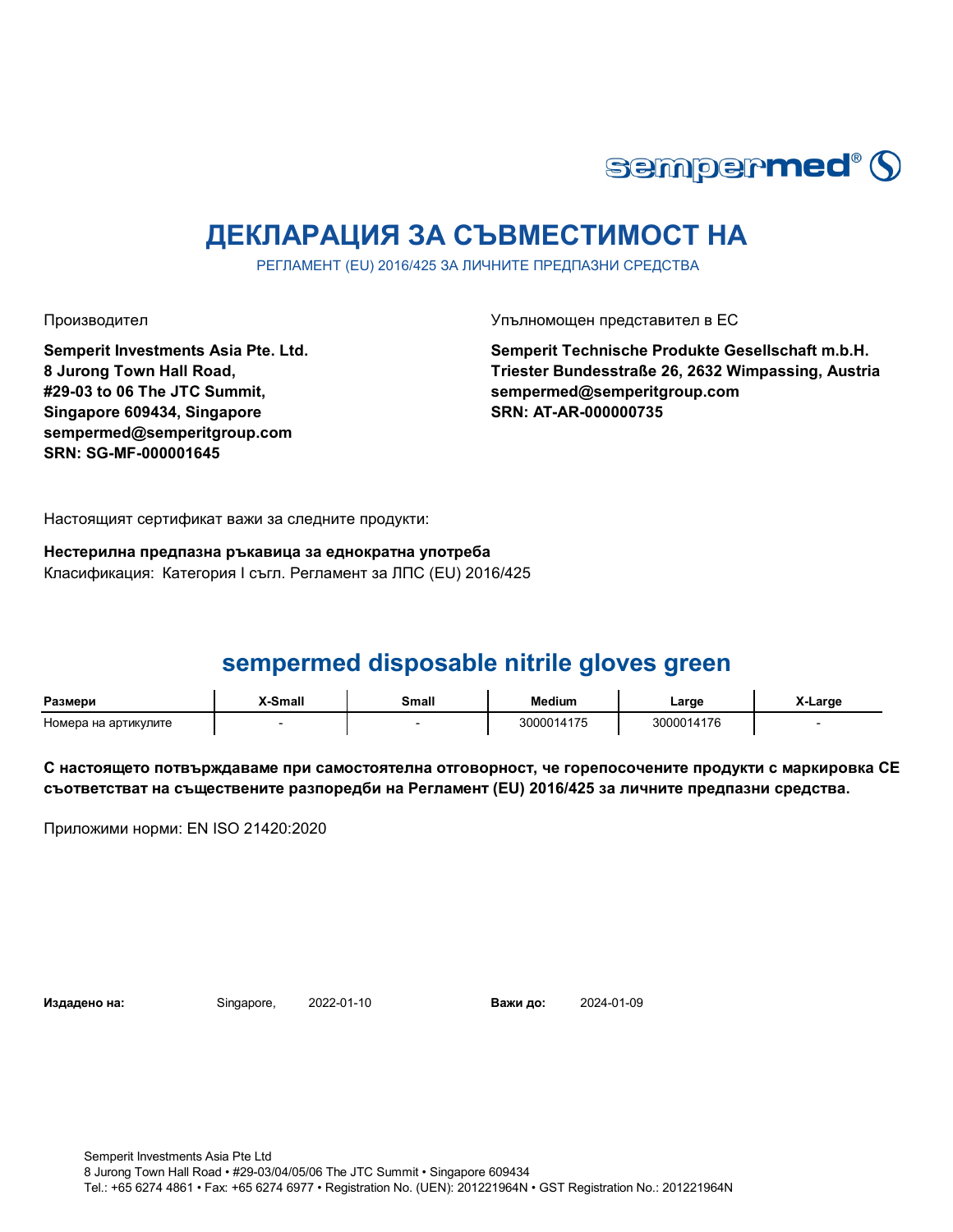

# **ДЕКЛАРАЦИЯ ЗА СЪВМЕСТИМОСТ НА**

РЕГЛАМЕНТ (EU) 2016/425 ЗА ЛИЧНИТЕ ПРЕДПАЗНИ СРЕДСТВА

Производител Упълномощен представител в ЕС

**Semperit Investments Asia Pte. Ltd. 8 Jurong Town Hall Road, #29-03 to 06 The JTC Summit, Singapore 609434, Singapore sempermed@semperitgroup.com SRN: SG-MF-000001645**

**Semperit Technische Produkte Gesellschaft m.b.H. Triester Bundesstraße 26, 2632 Wimpassing, Austria sempermed@semperitgroup.com SRN: AT-AR-000000735**

Настоящият сертификат важи за следните продукти:

**Нестерилна предпазна ръкавица за еднократна употреба** Класификация: Категория I съгл. Регламент за ЛПС (EU) 2016/425

# **sempermed disposable nitrile gloves green**

| Размери                 | -Small | Small | `າdium | Large      | Large |
|-------------------------|--------|-------|--------|------------|-------|
| на артикулите<br>Номера |        |       | 14     | 3000014176 |       |

**С настоящето потвърждаваме при самостоятелна отговорност, че горепосочените продукти с маркировка СЕ съответстват на съществените разпоредби на Регламент (EU) 2016/425 за личните предпазни средства.**

Приложими норми: EN ISO 21420:2020

**Издадено на:** Singapore, **Важи до:**

2024-01-09